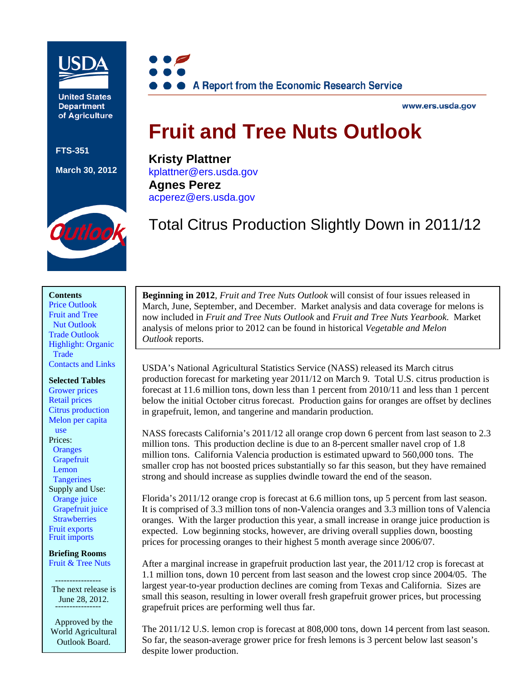

**United States Department** of Agriculture

**FTS-351** 

#### **March 30, 2012**



www.ers.usda.gov

# **Fruit and Tree Nuts Outlook**

**Kristy Plattner**  [kplattner@ers.usda.gov](mailto: kplattner@ers.usda.gov)  **Agnes Perez**  [acperez@ers.usda.gov](mailto:acperez@ers.usda.gov) 

Outloc

 $\overline{\phantom{a}}$ 

Total Citrus Production Slightly Down in 2011/12

#### **Contents**

[Price Outlook](#page-1-0)  Fruit and Tree  [Nut Outlook](#page-5-0)  [Trade Outlook](#page-26-0)  [Highlight: Organic](#page-29-0)  **Trade** [Contacts and Links](#page-32-0) 

#### **Selected Tables**

[Grower prices](#page-2-0)  [Retail prices](#page-4-0)  [Citrus production](#page-6-0)  [Melon per capita](#page-20-0)  use Prices: **Oranges Grapefruit**  [Lemon](#page-13-0)  **[Tangerines](#page-14-0)** Supply and Use: [Orange juice](#page-9-0)  [Grapefruit juice](#page-11-0)  **Strawberries** [Fruit exports](#page-26-0)  [Fruit imports](#page-28-0) 

**Briefing Rooms**  [Fruit & Tree Nuts](http://ers.usda.gov/Briefing/FruitAndTreeNuts/)

 ---------------- The next release is June 28, 2012.

Approved by the World Agricultural Outlook Board.

**Beginning in 2012**, *Fruit and Tree Nuts Outlook* will consist of four issues released in March, June, September, and December. Market analysis and data coverage for melons is now included in *Fruit and Tree Nuts Outlook* and *Fruit and Tree Nuts Yearbook*. Market analysis of melons prior to 2012 can be found in historical *Vegetable and Melon Outlook* reports.

USDA's National Agricultural Statistics Service (NASS) released its March citrus production forecast for marketing year 2011/12 on March 9. Total U.S. citrus production is forecast at 11.6 million tons, down less than 1 percent from 2010/11 and less than 1 percent below the initial October citrus forecast. Production gains for oranges are offset by declines in grapefruit, lemon, and tangerine and mandarin production.

NASS forecasts California's 2011/12 all orange crop down 6 percent from last season to 2.3 million tons. This production decline is due to an 8-percent smaller navel crop of 1.8 million tons. California Valencia production is estimated upward to 560,000 tons. The smaller crop has not boosted prices substantially so far this season, but they have remained strong and should increase as supplies dwindle toward the end of the season.

Florida's 2011/12 orange crop is forecast at 6.6 million tons, up 5 percent from last season. It is comprised of 3.3 million tons of non-Valencia oranges and 3.3 million tons of Valencia oranges. With the larger production this year, a small increase in orange juice production is expected. Low beginning stocks, however, are driving overall supplies down, boosting prices for processing oranges to their highest 5 month average since 2006/07.

After a marginal increase in grapefruit production last year, the 2011/12 crop is forecast at 1.1 million tons, down 10 percent from last season and the lowest crop since 2004/05. The largest year-to-year production declines are coming from Texas and California. Sizes are small this season, resulting in lower overall fresh grapefruit grower prices, but processing grapefruit prices are performing well thus far.

The 2011/12 U.S. lemon crop is forecast at 808,000 tons, down 14 percent from last season. So far, the season-average grower price for fresh lemons is 3 percent below last season's despite lower production.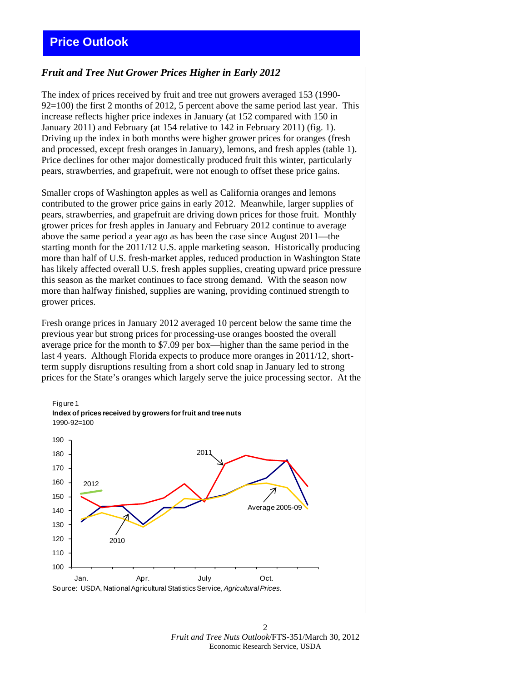#### <span id="page-1-0"></span>*Fruit and Tree Nut Grower Prices Higher in Early 2012*

The index of prices received by fruit and tree nut growers averaged 153 (1990- 92=100) the first 2 months of 2012, 5 percent above the same period last year. This increase reflects higher price indexes in January (at 152 compared with 150 in January 2011) and February (at 154 relative to 142 in February 2011) (fig. 1). Driving up the index in both months were higher grower prices for oranges (fresh and processed, except fresh oranges in January), lemons, and fresh apples (table 1). Price declines for other major domestically produced fruit this winter, particularly pears, strawberries, and grapefruit, were not enough to offset these price gains.

Smaller crops of Washington apples as well as California oranges and lemons contributed to the grower price gains in early 2012. Meanwhile, larger supplies of pears, strawberries, and grapefruit are driving down prices for those fruit. Monthly grower prices for fresh apples in January and February 2012 continue to average above the same period a year ago as has been the case since August 2011—the starting month for the 2011/12 U.S. apple marketing season. Historically producing more than half of U.S. fresh-market apples, reduced production in Washington State has likely affected overall U.S. fresh apples supplies, creating upward price pressure this season as the market continues to face strong demand. With the season now more than halfway finished, supplies are waning, providing continued strength to grower prices.

Fresh orange prices in January 2012 averaged 10 percent below the same time the previous year but strong prices for processing-use oranges boosted the overall average price for the month to \$7.09 per box—higher than the same period in the last 4 years. Although Florida expects to produce more oranges in 2011/12, shortterm supply disruptions resulting from a short cold snap in January led to strong prices for the State's oranges which largely serve the juice processing sector. At the

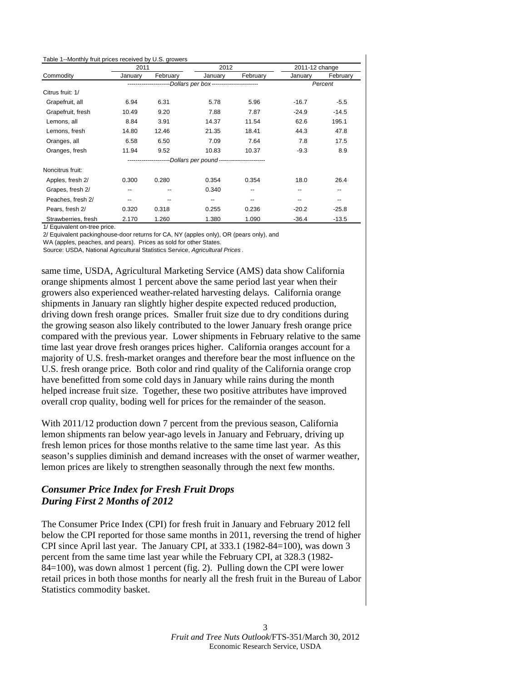<span id="page-2-0"></span>

| Table 1--Monthly fruit prices received by U.S. growers |         |          |                                          |          |                |          |
|--------------------------------------------------------|---------|----------|------------------------------------------|----------|----------------|----------|
|                                                        | 2011    |          | 2012                                     |          | 2011-12 change |          |
| Commodity                                              | January | February | January                                  | February | January        | February |
|                                                        |         |          | -Dollars per box----------------------   |          |                | Percent  |
| Citrus fruit: 1/                                       |         |          |                                          |          |                |          |
| Grapefruit, all                                        | 6.94    | 6.31     | 5.78                                     | 5.96     | $-16.7$        | $-5.5$   |
| Grapefruit, fresh                                      | 10.49   | 9.20     | 7.88                                     | 7.87     | $-24.9$        | $-14.5$  |
| Lemons, all                                            | 8.84    | 3.91     | 14.37                                    | 11.54    | 62.6           | 195.1    |
| Lemons, fresh                                          | 14.80   | 12.46    | 21.35                                    | 18.41    | 44.3           | 47.8     |
| Oranges, all                                           | 6.58    | 6.50     | 7.09                                     | 7.64     | 7.8            | 17.5     |
| Oranges, fresh                                         | 11.94   | 9.52     | 10.83                                    | 10.37    | $-9.3$         | 8.9      |
|                                                        |         |          | -Dollars per pound---------------------- |          |                |          |
| Noncitrus fruit:                                       |         |          |                                          |          |                |          |
| Apples, fresh 2/                                       | 0.300   | 0.280    | 0.354                                    | 0.354    | 18.0           | 26.4     |
| Grapes, fresh 2/                                       | --      |          | 0.340                                    |          | --             | --       |
| Peaches, fresh 2/                                      | --      | --       | --                                       | --       | --             | $- -$    |
| Pears, fresh 2/                                        | 0.320   | 0.318    | 0.255                                    | 0.236    | $-20.2$        | $-25.8$  |
| Strawberries, fresh                                    | 2.170   | 1.260    | 1.380                                    | 1.090    | $-36.4$        | $-13.5$  |

1/ Equivalent on-tree price.

2/ Equivalent packinghouse-door returns for CA, NY (apples only), OR (pears only), and

WA (apples, peaches, and pears). Prices as sold for other States.

Source: USDA, National Agricultural Statistics Service, *Agricultural Prices* .

same time, USDA, Agricultural Marketing Service (AMS) data show California orange shipments almost 1 percent above the same period last year when their growers also experienced weather-related harvesting delays. California orange shipments in January ran slightly higher despite expected reduced production, driving down fresh orange prices. Smaller fruit size due to dry conditions during the growing season also likely contributed to the lower January fresh orange price compared with the previous year. Lower shipments in February relative to the same time last year drove fresh oranges prices higher. California oranges account for a majority of U.S. fresh-market oranges and therefore bear the most influence on the U.S. fresh orange price. Both color and rind quality of the California orange crop have benefitted from some cold days in January while rains during the month helped increase fruit size. Together, these two positive attributes have improved overall crop quality, boding well for prices for the remainder of the season.

With 2011/12 production down 7 percent from the previous season, California lemon shipments ran below year-ago levels in January and February, driving up fresh lemon prices for those months relative to the same time last year. As this season's supplies diminish and demand increases with the onset of warmer weather, lemon prices are likely to strengthen seasonally through the next few months.

#### *Consumer Price Index for Fresh Fruit Drops During First 2 Months of 2012*

The Consumer Price Index (CPI) for fresh fruit in January and February 2012 fell below the CPI reported for those same months in 2011, reversing the trend of higher CPI since April last year. The January CPI, at 333.1 (1982-84=100), was down 3 percent from the same time last year while the February CPI, at 328.3 (1982- 84=100), was down almost 1 percent (fig. 2). Pulling down the CPI were lower retail prices in both those months for nearly all the fresh fruit in the Bureau of Labor Statistics commodity basket.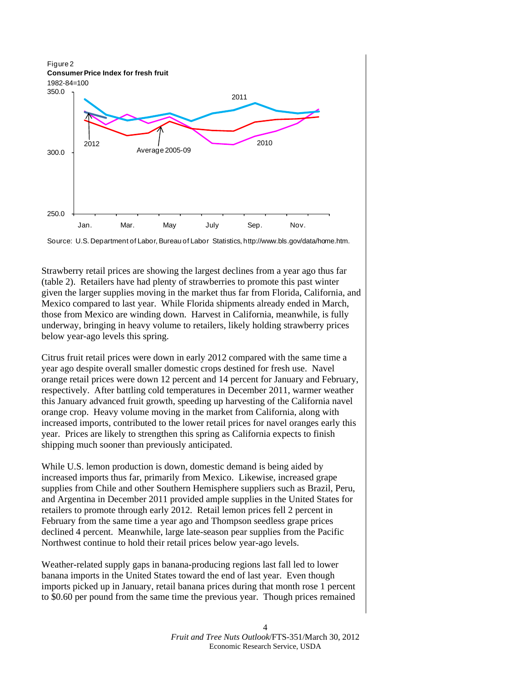

Source: U.S. Department of Labor, Bureau of Labor Statistics, http://www.bls.gov/data/home.htm.

Strawberry retail prices are showing the largest declines from a year ago thus far (table 2). Retailers have had plenty of strawberries to promote this past winter given the larger supplies moving in the market thus far from Florida, California, and Mexico compared to last year. While Florida shipments already ended in March, those from Mexico are winding down. Harvest in California, meanwhile, is fully underway, bringing in heavy volume to retailers, likely holding strawberry prices below year-ago levels this spring.

Citrus fruit retail prices were down in early 2012 compared with the same time a year ago despite overall smaller domestic crops destined for fresh use. Navel orange retail prices were down 12 percent and 14 percent for January and February, respectively. After battling cold temperatures in December 2011, warmer weather this January advanced fruit growth, speeding up harvesting of the California navel orange crop. Heavy volume moving in the market from California, along with increased imports, contributed to the lower retail prices for navel oranges early this year. Prices are likely to strengthen this spring as California expects to finish shipping much sooner than previously anticipated.

While U.S. lemon production is down, domestic demand is being aided by increased imports thus far, primarily from Mexico. Likewise, increased grape supplies from Chile and other Southern Hemisphere suppliers such as Brazil, Peru, and Argentina in December 2011 provided ample supplies in the United States for retailers to promote through early 2012. Retail lemon prices fell 2 percent in February from the same time a year ago and Thompson seedless grape prices declined 4 percent. Meanwhile, large late-season pear supplies from the Pacific Northwest continue to hold their retail prices below year-ago levels.

Weather-related supply gaps in banana-producing regions last fall led to lower banana imports in the United States toward the end of last year. Even though imports picked up in January, retail banana prices during that month rose 1 percent to \$0.60 per pound from the same time the previous year. Though prices remained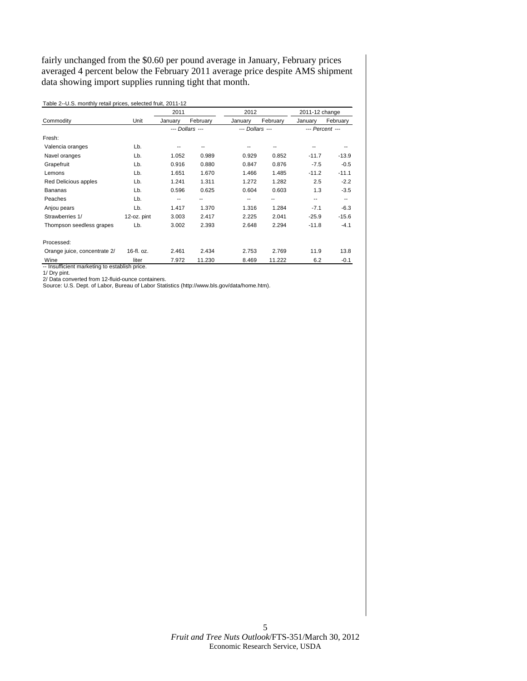<span id="page-4-0"></span>fairly unchanged from the \$0.60 per pound average in January, February prices averaged 4 percent below the February 2011 average price despite AMS shipment data showing import supplies running tight that month.

|                              |             | 2011    |                 | 2012            |          | 2011-12 change |                 |
|------------------------------|-------------|---------|-----------------|-----------------|----------|----------------|-----------------|
| Commodity                    | Unit        | January | February        | January         | February | January        | February        |
|                              |             |         | --- Dollars --- | --- Dollars --- |          |                | --- Percent --- |
| Fresh:                       |             |         |                 |                 |          |                |                 |
| Valencia oranges             | Lb.         |         |                 |                 |          |                |                 |
| Navel oranges                | Lb.         | 1.052   | 0.989           | 0.929           | 0.852    | $-11.7$        | $-13.9$         |
| Grapefruit                   | Lb.         | 0.916   | 0.880           | 0.847           | 0.876    | $-7.5$         | $-0.5$          |
| Lemons                       | Lb.         | 1.651   | 1.670           | 1.466           | 1.485    | $-11.2$        | $-11.1$         |
| Red Delicious apples         | Lb.         | 1.241   | 1.311           | 1.272           | 1.282    | 2.5            | $-2.2$          |
| <b>Bananas</b>               | Lb.         | 0.596   | 0.625           | 0.604           | 0.603    | 1.3            | $-3.5$          |
| Peaches                      | Lb.         | --      |                 | --              |          | --             | ۰.              |
| Anjou pears                  | Lb.         | 1.417   | 1.370           | 1.316           | 1.284    | $-7.1$         | $-6.3$          |
| Strawberries 1/              | 12-oz. pint | 3.003   | 2.417           | 2.225           | 2.041    | $-25.9$        | $-15.6$         |
| Thompson seedless grapes     | Lb.         | 3.002   | 2.393           | 2.648           | 2.294    | $-11.8$        | $-4.1$          |
| Processed:                   |             |         |                 |                 |          |                |                 |
| Orange juice, concentrate 2/ | 16-fl. oz.  | 2.461   | 2.434           | 2.753           | 2.769    | 11.9           | 13.8            |
| Wine                         | liter       | 7.972   | 11.230          | 8.469           | 11.222   | 6.2            | $-0.1$          |

Table 2--U.S. monthly retail prices, selected fruit, 2011-12

-- Insufficient marketing to establish price. 1/ Dry pint. 2/ Data converted from 12-fluid-ounce containers.

Source: U.S. Dept. of Labor, Bureau of Labor Statistics (http://www.bls.gov/data/home.htm).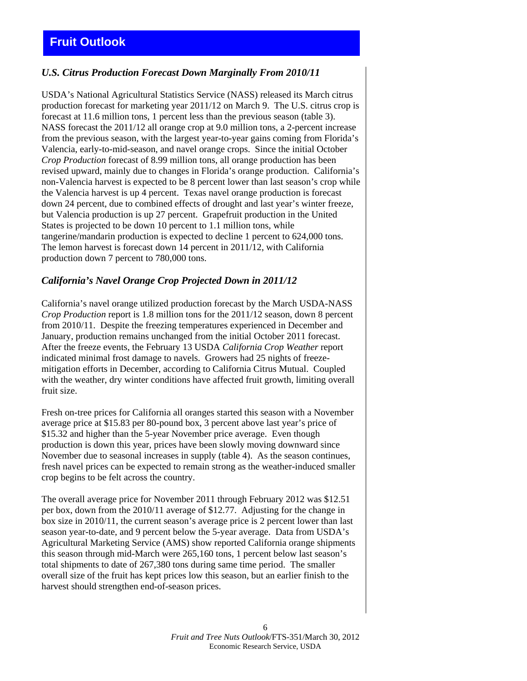#### <span id="page-5-0"></span>*U.S. Citrus Production Forecast Down Marginally From 2010/11*

USDA's National Agricultural Statistics Service (NASS) released its March citrus production forecast for marketing year 2011/12 on March 9.The U.S. citrus crop is forecast at 11.6 million tons, 1 percent less than the previous season (table 3). NASS forecast the 2011/12 all orange crop at 9.0 million tons, a 2-percent increase from the previous season, with the largest year-to-year gains coming from Florida's Valencia, early-to-mid-season, and navel orange crops. Since the initial October *Crop Production* forecast of 8.99 million tons, all orange production has been revised upward, mainly due to changes in Florida's orange production. California's non-Valencia harvest is expected to be 8 percent lower than last season's crop while the Valencia harvest is up 4 percent. Texas navel orange production is forecast down 24 percent, due to combined effects of drought and last year's winter freeze, but Valencia production is up 27 percent. Grapefruit production in the United States is projected to be down 10 percent to 1.1 million tons, while tangerine/mandarin production is expected to decline 1 percent to 624,000 tons. The lemon harvest is forecast down 14 percent in 2011/12, with California production down 7 percent to 780,000 tons.

#### *California's Navel Orange Crop Projected Down in 2011/12*

California's navel orange utilized production forecast by the March USDA-NASS *Crop Production* report is 1.8 million tons for the 2011/12 season, down 8 percent from 2010/11. Despite the freezing temperatures experienced in December and January, production remains unchanged from the initial October 2011 forecast. After the freeze events, the February 13 USDA *California Crop Weather* report indicated minimal frost damage to navels. Growers had 25 nights of freezemitigation efforts in December, according to California Citrus Mutual. Coupled with the weather, dry winter conditions have affected fruit growth, limiting overall fruit size.

Fresh on-tree prices for California all oranges started this season with a November average price at \$15.83 per 80-pound box, 3 percent above last year's price of \$15.32 and higher than the 5-year November price average. Even though production is down this year, prices have been slowly moving downward since November due to seasonal increases in supply (table 4). As the season continues, fresh navel prices can be expected to remain strong as the weather-induced smaller crop begins to be felt across the country.

The overall average price for November 2011 through February 2012 was \$12.51 per box, down from the 2010/11 average of \$12.77. Adjusting for the change in box size in 2010/11, the current season's average price is 2 percent lower than last season year-to-date, and 9 percent below the 5-year average. Data from USDA's Agricultural Marketing Service (AMS) show reported California orange shipments this season through mid-March were 265,160 tons, 1 percent below last season's total shipments to date of 267,380 tons during same time period. The smaller overall size of the fruit has kept prices low this season, but an earlier finish to the harvest should strengthen end-of-season prices.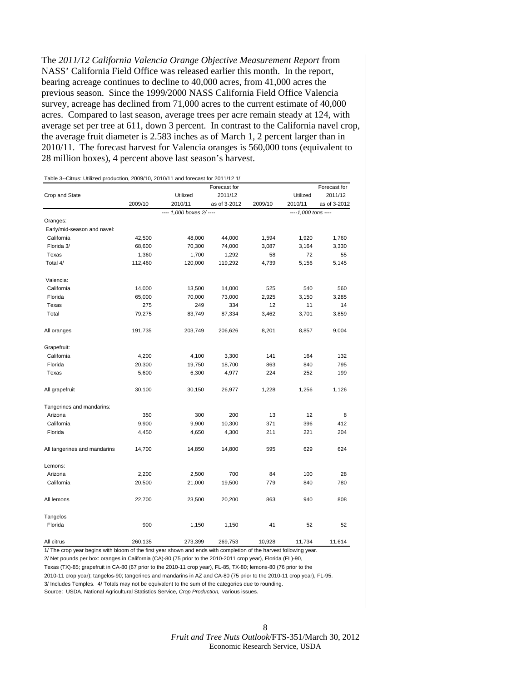<span id="page-6-0"></span>The *2011/12 California Valencia Orange Objective Measurement Report* from NASS' California Field Office was released earlier this month. In the report, bearing acreage continues to decline to 40,000 acres, from 41,000 acres the previous season. Since the 1999/2000 NASS California Field Office Valencia survey, acreage has declined from 71,000 acres to the current estimate of 40,000 acres. Compared to last season, average trees per acre remain steady at 124, with average set per tree at 611, down 3 percent. In contrast to the California navel crop, the average fruit diameter is 2.583 inches as of March 1, 2 percent larger than in 2010/11. The forecast harvest for Valencia oranges is 560,000 tons (equivalent to 28 million boxes), 4 percent above last season's harvest.

|                              |         |                         | Forecast for |         |                      | Forecast for |
|------------------------------|---------|-------------------------|--------------|---------|----------------------|--------------|
| Crop and State               |         | Utilized                | 2011/12      |         | Utilized             | 2011/12      |
|                              | 2009/10 | 2010/11                 | as of 3-2012 | 2009/10 | 2010/11              | as of 3-2012 |
|                              |         | ---- 1,000 boxes 2/---- |              |         | ---- 1,000 tons ---- |              |
| Oranges:                     |         |                         |              |         |                      |              |
| Early/mid-season and navel:  |         |                         |              |         |                      |              |
| California                   | 42,500  | 48,000                  | 44,000       | 1,594   | 1,920                | 1,760        |
| Florida 3/                   | 68,600  | 70,300                  | 74,000       | 3,087   | 3,164                | 3,330        |
| Texas                        | 1,360   | 1,700                   | 1,292        | 58      | 72                   | 55           |
| Total 4/                     | 112,460 | 120,000                 | 119,292      | 4,739   | 5,156                | 5,145        |
| Valencia:                    |         |                         |              |         |                      |              |
| California                   | 14,000  | 13,500                  | 14,000       | 525     | 540                  | 560          |
| Florida                      | 65,000  | 70,000                  | 73,000       | 2,925   | 3,150                | 3,285        |
| Texas                        | 275     | 249                     | 334          | 12      | 11                   | 14           |
| Total                        | 79,275  | 83,749                  | 87,334       | 3,462   | 3,701                | 3,859        |
| All oranges                  | 191,735 | 203,749                 | 206,626      | 8,201   | 8,857                | 9,004        |
| Grapefruit:                  |         |                         |              |         |                      |              |
| California                   | 4,200   | 4,100                   | 3,300        | 141     | 164                  | 132          |
| Florida                      | 20,300  | 19,750                  | 18,700       | 863     | 840                  | 795          |
| Texas                        | 5,600   | 6,300                   | 4,977        | 224     | 252                  | 199          |
| All grapefruit               | 30,100  | 30,150                  | 26,977       | 1,228   | 1,256                | 1,126        |
| Tangerines and mandarins:    |         |                         |              |         |                      |              |
| Arizona                      | 350     | 300                     | 200          | 13      | 12                   | 8            |
| California                   | 9,900   | 9,900                   | 10,300       | 371     | 396                  | 412          |
| Florida                      | 4,450   | 4,650                   | 4,300        | 211     | 221                  | 204          |
| All tangerines and mandarins | 14,700  | 14,850                  | 14,800       | 595     | 629                  | 624          |
| Lemons:                      |         |                         |              |         |                      |              |
| Arizona                      | 2,200   | 2,500                   | 700          | 84      | 100                  | 28           |
| California                   | 20,500  | 21,000                  | 19,500       | 779     | 840                  | 780          |
| All lemons                   | 22,700  | 23,500                  | 20,200       | 863     | 940                  | 808          |
| Tangelos                     |         |                         |              |         |                      |              |
| Florida                      | 900     | 1,150                   | 1,150        | 41      | 52                   | 52           |
| All citrus                   | 260,135 | 273,399                 | 269,753      | 10,928  | 11,734               | 11,614       |

1/ The crop year begins with bloom of the first year shown and ends with completion of the harvest following year.

2/ Net pounds per box: oranges in California (CA)-80 (75 prior to the 2010-2011 crop year), Florida (FL)-90, Texas (TX)-85; grapefruit in CA-80 (67 prior to the 2010-11 crop year), FL-85, TX-80; lemons-80 (76 prior to the

2010-11 crop year); tangelos-90; tangerines and mandarins in AZ and CA-80 (75 prior to the 2010-11 crop year), FL-95. 3/ Includes Temples. 4/ Totals may not be equivalent to the sum of the categories due to rounding. Source: USDA, National Agricultural Statistics Service, *Crop Production,* various issues.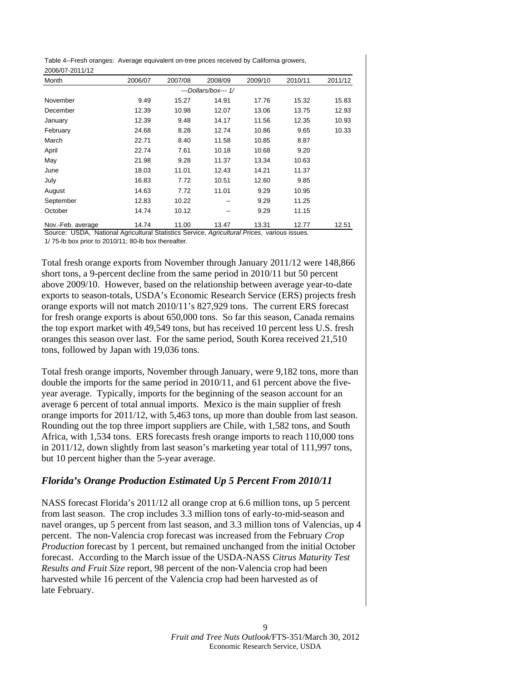<span id="page-7-0"></span>Table 4--Fresh oranges: Average equivalent on-tree prices received by California growers, 2006/07-2011/12

| Month             | 2006/07 | 2007/08 | 2008/09              | 2009/10 | 2010/11 | 2011/12 |
|-------------------|---------|---------|----------------------|---------|---------|---------|
|                   |         |         | ---Dollars/box--- 1/ |         |         |         |
| November          | 9.49    | 15.27   | 14.91                | 17.76   | 15.32   | 15.83   |
| December          | 12.39   | 10.98   | 12.07                | 13.06   | 13.75   | 12.93   |
| January           | 12.39   | 9.48    | 14.17                | 11.56   | 12.35   | 10.93   |
| February          | 24.68   | 8.28    | 12.74                | 10.86   | 9.65    | 10.33   |
| March             | 22.71   | 8.40    | 11.58                | 10.85   | 8.87    |         |
| April             | 22.74   | 7.61    | 10.18                | 10.68   | 9.20    |         |
| May               | 21.98   | 9.28    | 11.37                | 13.34   | 10.63   |         |
| June              | 18.03   | 11.01   | 12.43                | 14.21   | 11.37   |         |
| July              | 16.83   | 7.72    | 10.51                | 12.60   | 9.85    |         |
| August            | 14.63   | 7.72    | 11.01                | 9.29    | 10.95   |         |
| September         | 12.83   | 10.22   | --                   | 9.29    | 11.25   |         |
| October           | 14.74   | 10.12   | --                   | 9.29    | 11.15   |         |
| Nov.-Feb. average | 14.74   | 11.00   | 13.47                | 13.31   | 12.77   | 12.51   |

Source: USDA, National Agricultural Statistics Service, *Agricultural Prices,* various issues. 1/ 75-lb box prior to 2010/11; 80-lb box thereafter.

Total fresh orange exports from November through January 2011/12 were 148,866 short tons, a 9-percent decline from the same period in 2010/11 but 50 percent above 2009/10. However, based on the relationship between average year-to-date exports to season-totals, USDA's Economic Research Service (ERS) projects fresh orange exports will not match 2010/11's 827,929 tons. The current ERS forecast for fresh orange exports is about 650,000 tons. So far this season, Canada remains the top export market with 49,549 tons, but has received 10 percent less U.S. fresh oranges this season over last. For the same period, South Korea received 21,510 tons, followed by Japan with 19,036 tons.

Total fresh orange imports, November through January, were 9,182 tons, more than double the imports for the same period in 2010/11, and 61 percent above the fiveyear average. Typically, imports for the beginning of the season account for an average 6 percent of total annual imports. Mexico is the main supplier of fresh orange imports for 2011/12, with 5,463 tons, up more than double from last season. Rounding out the top three import suppliers are Chile, with 1,582 tons, and South Africa, with 1,534 tons. ERS forecasts fresh orange imports to reach 110,000 tons in 2011/12, down slightly from last season's marketing year total of 111,997 tons, but 10 percent higher than the 5-year average.

### *Florida's Orange Production Estimated Up 5 Percent From 2010/11*

NASS forecast Florida's 2011/12 all orange crop at 6.6 million tons, up 5 percent from last season. The crop includes 3.3 million tons of early-to-mid-season and navel oranges, up 5 percent from last season, and 3.3 million tons of Valencias, up 4 percent. The non-Valencia crop forecast was increased from the February *Crop Production* forecast by 1 percent, but remained unchanged from the initial October forecast. According to the March issue of the USDA-NASS *Citrus Maturity Test Results and Fruit Size* report, 98 percent of the non-Valencia crop had been harvested while 16 percent of the Valencia crop had been harvested as of late February.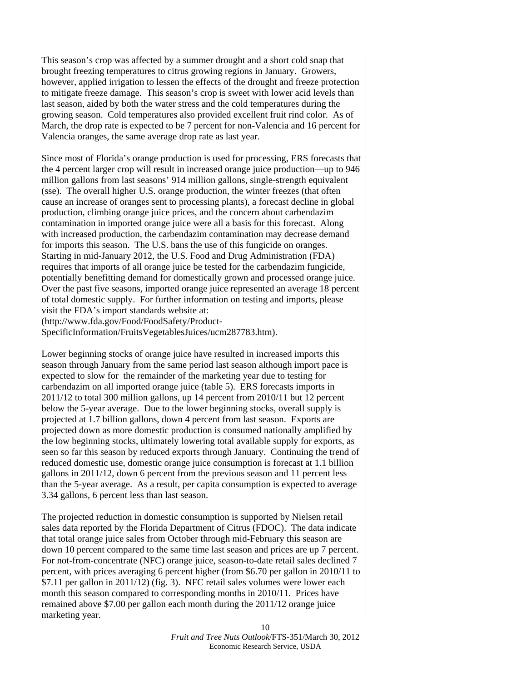This season's crop was affected by a summer drought and a short cold snap that brought freezing temperatures to citrus growing regions in January. Growers, however, applied irrigation to lessen the effects of the drought and freeze protection to mitigate freeze damage. This season's crop is sweet with lower acid levels than last season, aided by both the water stress and the cold temperatures during the growing season. Cold temperatures also provided excellent fruit rind color. As of March, the drop rate is expected to be 7 percent for non-Valencia and 16 percent for Valencia oranges, the same average drop rate as last year.

Since most of Florida's orange production is used for processing, ERS forecasts that the 4 percent larger crop will result in increased orange juice production—up to 946 million gallons from last seasons' 914 million gallons, single-strength equivalent (sse). The overall higher U.S. orange production, the winter freezes (that often cause an increase of oranges sent to processing plants), a forecast decline in global production, climbing orange juice prices, and the concern about carbendazim contamination in imported orange juice were all a basis for this forecast. Along with increased production, the carbendazim contamination may decrease demand for imports this season. The U.S. bans the use of this fungicide on oranges. Starting in mid-January 2012, the U.S. Food and Drug Administration (FDA) requires that imports of all orange juice be tested for the carbendazim fungicide, potentially benefitting demand for domestically grown and processed orange juice. Over the past five seasons, imported orange juice represented an average 18 percent of total domestic supply. For further information on testing and imports, please visit the FDA's import standards website at: (http://www.fda.gov/Food/FoodSafety/Product-

SpecificInformation/FruitsVegetablesJuices/ucm287783.htm).

Lower beginning stocks of orange juice have resulted in increased imports this season through January from the same period last season although import pace is expected to slow for the remainder of the marketing year due to testing for carbendazim on all imported orange juice (table 5). ERS forecasts imports in 2011/12 to total 300 million gallons, up 14 percent from 2010/11 but 12 percent below the 5-year average. Due to the lower beginning stocks, overall supply is projected at 1.7 billion gallons, down 4 percent from last season. Exports are projected down as more domestic production is consumed nationally amplified by the low beginning stocks, ultimately lowering total available supply for exports, as seen so far this season by reduced exports through January. Continuing the trend of reduced domestic use, domestic orange juice consumption is forecast at 1.1 billion gallons in 2011/12, down 6 percent from the previous season and 11 percent less than the 5-year average. As a result, per capita consumption is expected to average 3.34 gallons, 6 percent less than last season.

The projected reduction in domestic consumption is supported by Nielsen retail sales data reported by the Florida Department of Citrus (FDOC). The data indicate that total orange juice sales from October through mid-February this season are down 10 percent compared to the same time last season and prices are up 7 percent. For not-from-concentrate (NFC) orange juice, season-to-date retail sales declined 7 percent, with prices averaging 6 percent higher (from \$6.70 per gallon in 2010/11 to \$7.11 per gallon in 2011/12) (fig. 3). NFC retail sales volumes were lower each month this season compared to corresponding months in 2010/11. Prices have remained above \$7.00 per gallon each month during the 2011/12 orange juice marketing year.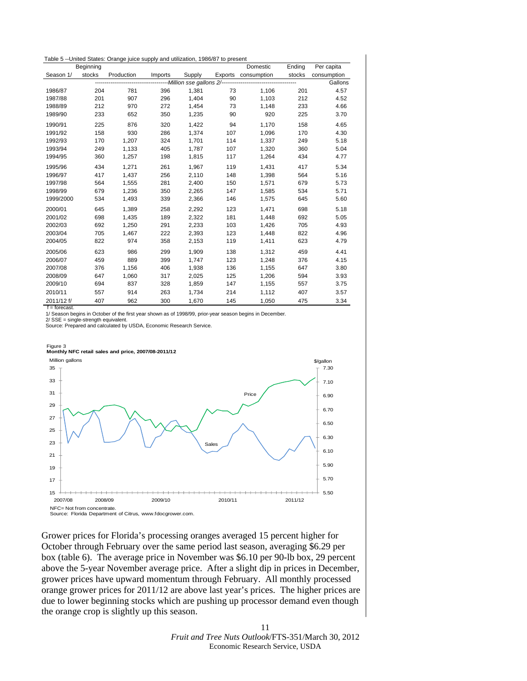<span id="page-9-0"></span>

|            |           | Table 5 --United States: Orange juice supply and utilization, 1986/87 to present |         |        |     |                     |        |             |
|------------|-----------|----------------------------------------------------------------------------------|---------|--------|-----|---------------------|--------|-------------|
|            | Beginning |                                                                                  |         |        |     | Domestic            | Ending | Per capita  |
| Season 1/  | stocks    | Production                                                                       | Imports | Supply |     | Exports consumption | stocks | consumption |
|            |           |                                                                                  |         |        |     |                     |        | Gallons     |
| 1986/87    | 204       | 781                                                                              | 396     | 1,381  | 73  | 1,106               | 201    | 4.57        |
| 1987/88    | 201       | 907                                                                              | 296     | 1,404  | 90  | 1,103               | 212    | 4.52        |
| 1988/89    | 212       | 970                                                                              | 272     | 1,454  | 73  | 1,148               | 233    | 4.66        |
| 1989/90    | 233       | 652                                                                              | 350     | 1,235  | 90  | 920                 | 225    | 3.70        |
| 1990/91    | 225       | 876                                                                              | 320     | 1,422  | 94  | 1,170               | 158    | 4.65        |
| 1991/92    | 158       | 930                                                                              | 286     | 1,374  | 107 | 1,096               | 170    | 4.30        |
| 1992/93    | 170       | 1,207                                                                            | 324     | 1.701  | 114 | 1.337               | 249    | 5.18        |
| 1993/94    | 249       | 1,133                                                                            | 405     | 1.787  | 107 | 1,320               | 360    | 5.04        |
| 1994/95    | 360       | 1,257                                                                            | 198     | 1,815  | 117 | 1,264               | 434    | 4.77        |
| 1995/96    | 434       | 1.271                                                                            | 261     | 1.967  | 119 | 1,431               | 417    | 5.34        |
| 1996/97    | 417       | 1,437                                                                            | 256     | 2,110  | 148 | 1,398               | 564    | 5.16        |
| 1997/98    | 564       | 1.555                                                                            | 281     | 2,400  | 150 | 1,571               | 679    | 5.73        |
| 1998/99    | 679       | 1,236                                                                            | 350     | 2,265  | 147 | 1,585               | 534    | 5.71        |
| 1999/2000  | 534       | 1,493                                                                            | 339     | 2,366  | 146 | 1,575               | 645    | 5.60        |
| 2000/01    | 645       | 1.389                                                                            | 258     | 2.292  | 123 | 1.471               | 698    | 5.18        |
| 2001/02    | 698       | 1,435                                                                            | 189     | 2,322  | 181 | 1,448               | 692    | 5.05        |
| 2002/03    | 692       | 1,250                                                                            | 291     | 2,233  | 103 | 1,426               | 705    | 4.93        |
| 2003/04    | 705       | 1,467                                                                            | 222     | 2,393  | 123 | 1,448               | 822    | 4.96        |
| 2004/05    | 822       | 974                                                                              | 358     | 2,153  | 119 | 1,411               | 623    | 4.79        |
| 2005/06    | 623       | 986                                                                              | 299     | 1.909  | 138 | 1,312               | 459    | 4.41        |
| 2006/07    | 459       | 889                                                                              | 399     | 1.747  | 123 | 1,248               | 376    | 4.15        |
| 2007/08    | 376       | 1,156                                                                            | 406     | 1,938  | 136 | 1,155               | 647    | 3.80        |
| 2008/09    | 647       | 1,060                                                                            | 317     | 2,025  | 125 | 1,206               | 594    | 3.93        |
| 2009/10    | 694       | 837                                                                              | 328     | 1,859  | 147 | 1,155               | 557    | 3.75        |
| 2010/11    | 557       | 914                                                                              | 263     | 1,734  | 214 | 1,112               | 407    | 3.57        |
| 2011/12 f/ | 407       | 962                                                                              | 300     | 1.670  | 145 | 1.050               | 475    | 3.34        |

 $f =$  forecast.

1/ Season begins in October of the first year shown as of 1998/99, prior-year season begins in December.

2/ SSE = single-strength equivalent.

Source: Prepared and calculated by USDA, Economic Research Service.

### Figure 3 **Monthly NFC retail sales and price, 2007/08-2011/12**



Grower prices for Florida's processing oranges averaged 15 percent higher for October through February over the same period last season, averaging \$6.29 per box (table 6). The average price in November was \$6.10 per 90-lb box, 29 percent above the 5-year November average price. After a slight dip in prices in December, grower prices have upward momentum through February. All monthly processed orange grower prices for 2011/12 are above last year's prices. The higher prices are due to lower beginning stocks which are pushing up processor demand even though the orange crop is slightly up this season.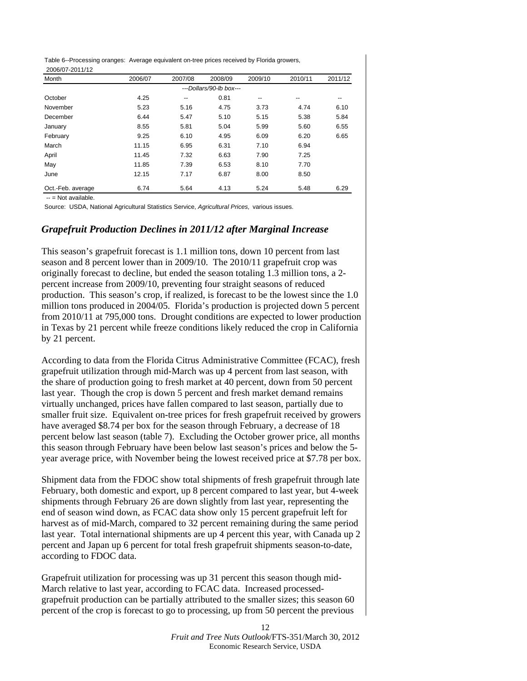Table 6--Processing oranges: Average equivalent on-tree prices received by Florida growers, 2006/07-2011/12

| Month             | 2006/07 | 2007/08 | 2008/09                 | 2009/10 | 2010/11 | 2011/12 |
|-------------------|---------|---------|-------------------------|---------|---------|---------|
|                   |         |         | ---Dollars/90-lb box--- |         |         |         |
| October           | 4.25    | --      | 0.81                    | --      | --      | --      |
| November          | 5.23    | 5.16    | 4.75                    | 3.73    | 4.74    | 6.10    |
| December          | 6.44    | 5.47    | 5.10                    | 5.15    | 5.38    | 5.84    |
| January           | 8.55    | 5.81    | 5.04                    | 5.99    | 5.60    | 6.55    |
| February          | 9.25    | 6.10    | 4.95                    | 6.09    | 6.20    | 6.65    |
| March             | 11.15   | 6.95    | 6.31                    | 7.10    | 6.94    |         |
| April             | 11.45   | 7.32    | 6.63                    | 7.90    | 7.25    |         |
| May               | 11.85   | 7.39    | 6.53                    | 8.10    | 7.70    |         |
| June              | 12.15   | 7.17    | 6.87                    | 8.00    | 8.50    |         |
| Oct.-Feb. average | 6.74    | 5.64    | 4.13                    | 5.24    | 5.48    | 6.29    |

-- = Not available.

Source: USDA, National Agricultural Statistics Service, *Agricultural Prices,* various issues.

#### *Grapefruit Production Declines in 2011/12 after Marginal Increase*

This season's grapefruit forecast is 1.1 million tons, down 10 percent from last season and 8 percent lower than in 2009/10. The 2010/11 grapefruit crop was originally forecast to decline, but ended the season totaling 1.3 million tons, a 2 percent increase from 2009/10, preventing four straight seasons of reduced production. This season's crop, if realized, is forecast to be the lowest since the 1.0 million tons produced in 2004/05. Florida's production is projected down 5 percent from 2010/11 at 795,000 tons. Drought conditions are expected to lower production in Texas by 21 percent while freeze conditions likely reduced the crop in California by 21 percent.

According to data from the Florida Citrus Administrative Committee (FCAC), fresh grapefruit utilization through mid-March was up 4 percent from last season, with the share of production going to fresh market at 40 percent, down from 50 percent last year. Though the crop is down 5 percent and fresh market demand remains virtually unchanged, prices have fallen compared to last season, partially due to smaller fruit size. Equivalent on-tree prices for fresh grapefruit received by growers have averaged \$8.74 per box for the season through February, a decrease of 18 percent below last season (table 7). Excluding the October grower price, all months this season through February have been below last season's prices and below the 5 year average price, with November being the lowest received price at \$7.78 per box.

Shipment data from the FDOC show total shipments of fresh grapefruit through late February, both domestic and export, up 8 percent compared to last year, but 4-week shipments through February 26 are down slightly from last year, representing the end of season wind down, as FCAC data show only 15 percent grapefruit left for harvest as of mid-March, compared to 32 percent remaining during the same period last year. Total international shipments are up 4 percent this year, with Canada up 2 percent and Japan up 6 percent for total fresh grapefruit shipments season-to-date, according to FDOC data.

Grapefruit utilization for processing was up 31 percent this season though mid-March relative to last year, according to FCAC data. Increased processedgrapefruit production can be partially attributed to the smaller sizes; this season 60 percent of the crop is forecast to go to processing, up from 50 percent the previous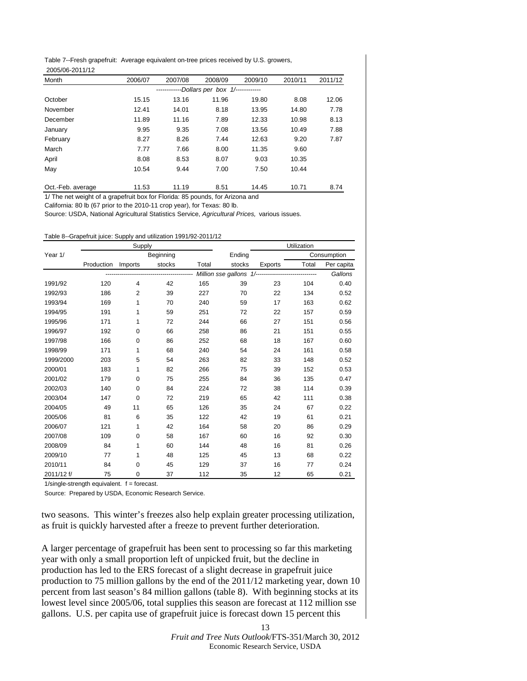<span id="page-11-0"></span>Table 7--Fresh grapefruit: Average equivalent on-tree prices received by U.S. growers, 2005/06-2011/12

| Month             | 2006/07 | 2007/08 | 2008/09                         | 2009/10 | 2010/11 | 2011/12 |
|-------------------|---------|---------|---------------------------------|---------|---------|---------|
|                   |         |         | -Dollars per box 1/------------ |         |         |         |
| October           | 15.15   | 13.16   | 11.96                           | 19.80   | 8.08    | 12.06   |
| November          | 12.41   | 14.01   | 8.18                            | 13.95   | 14.80   | 7.78    |
| December          | 11.89   | 11.16   | 7.89                            | 12.33   | 10.98   | 8.13    |
| January           | 9.95    | 9.35    | 7.08                            | 13.56   | 10.49   | 7.88    |
| February          | 8.27    | 8.26    | 7.44                            | 12.63   | 9.20    | 7.87    |
| March             | 7.77    | 7.66    | 8.00                            | 11.35   | 9.60    |         |
| April             | 8.08    | 8.53    | 8.07                            | 9.03    | 10.35   |         |
| May               | 10.54   | 9.44    | 7.00                            | 7.50    | 10.44   |         |
|                   |         |         |                                 |         |         |         |
| Oct.-Feb. average | 11.53   | 11.19   | 8.51                            | 14.45   | 10.71   | 8.74    |

1/ The net weight of a grapefruit box for Florida: 85 pounds, for Arizona and

California: 80 lb (67 prior to the 2010-11 crop year), for Texas: 80 lb.

Source: USDA, National Agricultural Statistics Service, *Agricultural Prices,* various issues.

| Table 8--Grapefruit juice: Supply and utilization 1991/92-2011/12 |  |
|-------------------------------------------------------------------|--|
|-------------------------------------------------------------------|--|

|            |            | Supply         |           |       |        |                                                      | Utilization |             |
|------------|------------|----------------|-----------|-------|--------|------------------------------------------------------|-------------|-------------|
| Year 1/    |            |                | Beginning |       | Ending |                                                      |             | Consumption |
|            | Production | Imports        | stocks    | Total | stocks | Exports                                              | Total       | Per capita  |
|            |            |                |           |       |        | Million sse gallons 1/------------------------------ |             | Gallons     |
| 1991/92    | 120        | 4              | 42        | 165   | 39     | 23                                                   | 104         | 0.40        |
| 1992/93    | 186        | $\overline{2}$ | 39        | 227   | 70     | 22                                                   | 134         | 0.52        |
| 1993/94    | 169        | 1              | 70        | 240   | 59     | 17                                                   | 163         | 0.62        |
| 1994/95    | 191        | 1              | 59        | 251   | 72     | 22                                                   | 157         | 0.59        |
| 1995/96    | 171        | 1              | 72        | 244   | 66     | 27                                                   | 151         | 0.56        |
| 1996/97    | 192        | $\mathbf 0$    | 66        | 258   | 86     | 21                                                   | 151         | 0.55        |
| 1997/98    | 166        | 0              | 86        | 252   | 68     | 18                                                   | 167         | 0.60        |
| 1998/99    | 171        | 1              | 68        | 240   | 54     | 24                                                   | 161         | 0.58        |
| 1999/2000  | 203        | 5              | 54        | 263   | 82     | 33                                                   | 148         | 0.52        |
| 2000/01    | 183        | 1              | 82        | 266   | 75     | 39                                                   | 152         | 0.53        |
| 2001/02    | 179        | 0              | 75        | 255   | 84     | 36                                                   | 135         | 0.47        |
| 2002/03    | 140        | $\mathbf 0$    | 84        | 224   | 72     | 38                                                   | 114         | 0.39        |
| 2003/04    | 147        | 0              | 72        | 219   | 65     | 42                                                   | 111         | 0.38        |
| 2004/05    | 49         | 11             | 65        | 126   | 35     | 24                                                   | 67          | 0.22        |
| 2005/06    | 81         | 6              | 35        | 122   | 42     | 19                                                   | 61          | 0.21        |
| 2006/07    | 121        | 1              | 42        | 164   | 58     | 20                                                   | 86          | 0.29        |
| 2007/08    | 109        | 0              | 58        | 167   | 60     | 16                                                   | 92          | 0.30        |
| 2008/09    | 84         | 1              | 60        | 144   | 48     | 16                                                   | 81          | 0.26        |
| 2009/10    | 77         | 1              | 48        | 125   | 45     | 13                                                   | 68          | 0.22        |
| 2010/11    | 84         | $\mathbf 0$    | 45        | 129   | 37     | 16                                                   | 77          | 0.24        |
| 2011/12 f/ | 75         | 0              | 37        | 112   | 35     | 12                                                   | 65          | 0.21        |

 $1/single-strength$  equivalent.  $f = forecast$ .

Source: Prepared by USDA, Economic Research Service.

two seasons. This winter's freezes also help explain greater processing utilization, as fruit is quickly harvested after a freeze to prevent further deterioration.

A larger percentage of grapefruit has been sent to processing so far this marketing year with only a small proportion left of unpicked fruit, but the decline in production has led to the ERS forecast of a slight decrease in grapefruit juice production to 75 million gallons by the end of the 2011/12 marketing year, down 10 percent from last season's 84 million gallons (table 8). With beginning stocks at its lowest level since 2005/06, total supplies this season are forecast at 112 million sse gallons. U.S. per capita use of grapefruit juice is forecast down 15 percent this

> *Fruit and Tree Nuts Outlook*/FTS-351/March 30, 2012 Economic Research Service, USDA

13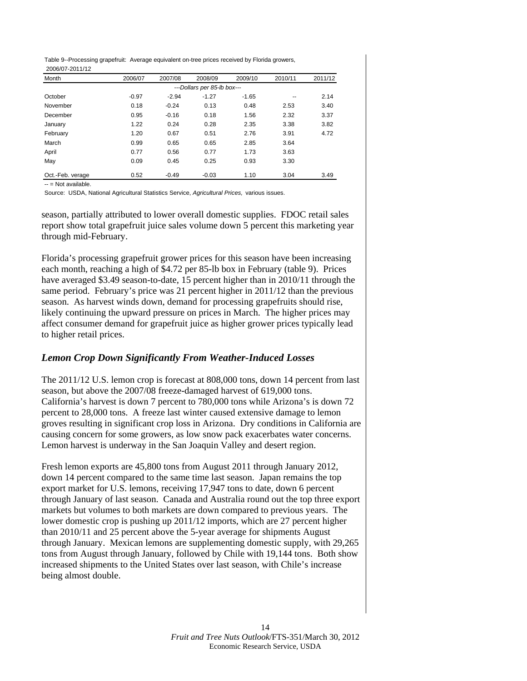Table 9--Processing grapefruit: Average equivalent on-tree prices received by Florida growers, 2006/07-2011/12

| Month            | 2006/07 | 2007/08 | 2008/09                     | 2009/10 | 2010/11 | 2011/12 |
|------------------|---------|---------|-----------------------------|---------|---------|---------|
|                  |         |         | ---Dollars per 85-lb box--- |         |         |         |
| October          | $-0.97$ | $-2.94$ | $-1.27$                     | $-1.65$ | --      | 2.14    |
| November         | 0.18    | $-0.24$ | 0.13                        | 0.48    | 2.53    | 3.40    |
| December         | 0.95    | $-0.16$ | 0.18                        | 1.56    | 2.32    | 3.37    |
| January          | 1.22    | 0.24    | 0.28                        | 2.35    | 3.38    | 3.82    |
| February         | 1.20    | 0.67    | 0.51                        | 2.76    | 3.91    | 4.72    |
| March            | 0.99    | 0.65    | 0.65                        | 2.85    | 3.64    |         |
| April            | 0.77    | 0.56    | 0.77                        | 1.73    | 3.63    |         |
| May              | 0.09    | 0.45    | 0.25                        | 0.93    | 3.30    |         |
| Oct.-Feb. verage | 0.52    | $-0.49$ | $-0.03$                     | 1.10    | 3.04    | 3.49    |

-- = Not available.

Source: USDA, National Agricultural Statistics Service, *Agricultural Prices,* various issues.

season, partially attributed to lower overall domestic supplies. FDOC retail sales report show total grapefruit juice sales volume down 5 percent this marketing year through mid-February.

Florida's processing grapefruit grower prices for this season have been increasing each month, reaching a high of \$4.72 per 85-lb box in February (table 9). Prices have averaged \$3.49 season-to-date, 15 percent higher than in 2010/11 through the same period. February's price was 21 percent higher in 2011/12 than the previous season. As harvest winds down, demand for processing grapefruits should rise, likely continuing the upward pressure on prices in March. The higher prices may affect consumer demand for grapefruit juice as higher grower prices typically lead to higher retail prices.

#### *Lemon Crop Down Significantly From Weather-Induced Losses*

The 2011/12 U.S. lemon crop is forecast at 808,000 tons, down 14 percent from last season, but above the 2007/08 freeze-damaged harvest of 619,000 tons. California's harvest is down 7 percent to 780,000 tons while Arizona's is down 72 percent to 28,000 tons. A freeze last winter caused extensive damage to lemon groves resulting in significant crop loss in Arizona. Dry conditions in California are causing concern for some growers, as low snow pack exacerbates water concerns. Lemon harvest is underway in the San Joaquin Valley and desert region.

Fresh lemon exports are 45,800 tons from August 2011 through January 2012, down 14 percent compared to the same time last season. Japan remains the top export market for U.S. lemons, receiving 17,947 tons to date, down 6 percent through January of last season. Canada and Australia round out the top three export markets but volumes to both markets are down compared to previous years. The lower domestic crop is pushing up 2011/12 imports, which are 27 percent higher than 2010/11 and 25 percent above the 5-year average for shipments August through January. Mexican lemons are supplementing domestic supply, with 29,265 tons from August through January, followed by Chile with 19,144 tons. Both show increased shipments to the United States over last season, with Chile's increase being almost double.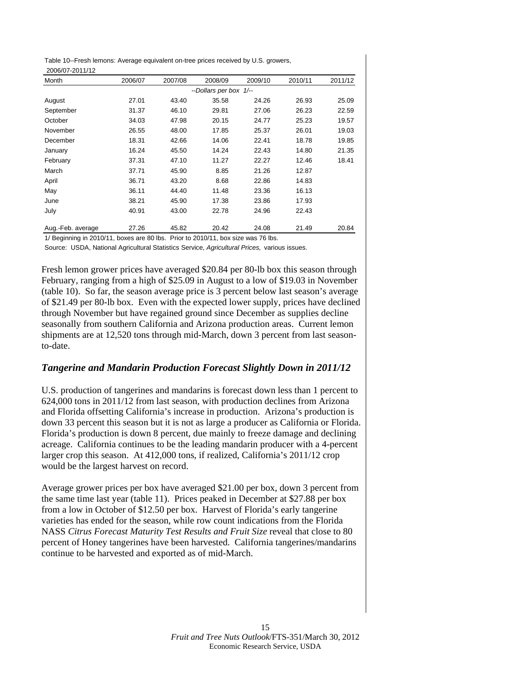<span id="page-13-0"></span>Table 10--Fresh lemons: Average equivalent on-tree prices received by U.S. growers, 2006/07-2011/12

| Month             | 2006/07 | 2007/08 | 2008/09                | 2009/10 | 2010/11 | 2011/12 |
|-------------------|---------|---------|------------------------|---------|---------|---------|
|                   |         |         | --Dollars per box 1/-- |         |         |         |
| August            | 27.01   | 43.40   | 35.58                  | 24.26   | 26.93   | 25.09   |
| September         | 31.37   | 46.10   | 29.81                  | 27.06   | 26.23   | 22.59   |
| October           | 34.03   | 47.98   | 20.15                  | 24.77   | 25.23   | 19.57   |
| November          | 26.55   | 48.00   | 17.85                  | 25.37   | 26.01   | 19.03   |
| December          | 18.31   | 42.66   | 14.06                  | 22.41   | 18.78   | 19.85   |
| January           | 16.24   | 45.50   | 14.24                  | 22.43   | 14.80   | 21.35   |
| February          | 37.31   | 47.10   | 11.27                  | 22.27   | 12.46   | 18.41   |
| March             | 37.71   | 45.90   | 8.85                   | 21.26   | 12.87   |         |
| April             | 36.71   | 43.20   | 8.68                   | 22.86   | 14.83   |         |
| May               | 36.11   | 44.40   | 11.48                  | 23.36   | 16.13   |         |
| June              | 38.21   | 45.90   | 17.38                  | 23.86   | 17.93   |         |
| July              | 40.91   | 43.00   | 22.78                  | 24.96   | 22.43   |         |
| Aug.-Feb. average | 27.26   | 45.82   | 20.42                  | 24.08   | 21.49   | 20.84   |

1/ Beginning in 2010/11, boxes are 80 lbs. Prior to 2010/11, box size was 76 lbs.

Source: USDA, National Agricultural Statistics Service, *Agricultural Prices,* various issues.

Fresh lemon grower prices have averaged \$20.84 per 80-lb box this season through February, ranging from a high of \$25.09 in August to a low of \$19.03 in November (table 10). So far, the season average price is 3 percent below last season's average of \$21.49 per 80-lb box. Even with the expected lower supply, prices have declined through November but have regained ground since December as supplies decline seasonally from southern California and Arizona production areas. Current lemon shipments are at 12,520 tons through mid-March, down 3 percent from last seasonto-date.

#### *Tangerine and Mandarin Production Forecast Slightly Down in 2011/12*

U.S. production of tangerines and mandarins is forecast down less than 1 percent to 624,000 tons in 2011/12 from last season, with production declines from Arizona and Florida offsetting California's increase in production. Arizona's production is down 33 percent this season but it is not as large a producer as California or Florida. Florida's production is down 8 percent, due mainly to freeze damage and declining acreage. California continues to be the leading mandarin producer with a 4-percent larger crop this season. At 412,000 tons, if realized, California's 2011/12 crop would be the largest harvest on record.

Average grower prices per box have averaged \$21.00 per box, down 3 percent from the same time last year (table 11). Prices peaked in December at \$27.88 per box from a low in October of \$12.50 per box. Harvest of Florida's early tangerine varieties has ended for the season, while row count indications from the Florida NASS *Citrus Forecast Maturity Test Results and Fruit Size* reveal that close to 80 percent of Honey tangerines have been harvested. California tangerines/mandarins continue to be harvested and exported as of mid-March.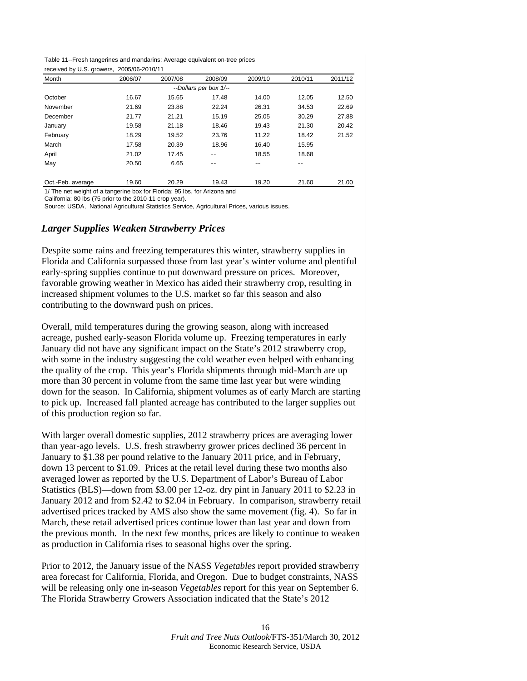<span id="page-14-0"></span>

|                                           | Table 11--Fresh tangerines and mandarins: Average equivalent on-tree prices |
|-------------------------------------------|-----------------------------------------------------------------------------|
| received by U.S. growers, 2005/06-2010/11 |                                                                             |

| Month             | 2006/07 | 2007/08 | 2008/09                | 2009/10 | 2010/11 | 2011/12 |
|-------------------|---------|---------|------------------------|---------|---------|---------|
|                   |         |         | --Dollars per box 1/-- |         |         |         |
| October           | 16.67   | 15.65   | 17.48                  | 14.00   | 12.05   | 12.50   |
| November          | 21.69   | 23.88   | 22.24                  | 26.31   | 34.53   | 22.69   |
| December          | 21.77   | 21.21   | 15.19                  | 25.05   | 30.29   | 27.88   |
| January           | 19.58   | 21.18   | 18.46                  | 19.43   | 21.30   | 20.42   |
| February          | 18.29   | 19.52   | 23.76                  | 11.22   | 18.42   | 21.52   |
| March             | 17.58   | 20.39   | 18.96                  | 16.40   | 15.95   |         |
| April             | 21.02   | 17.45   | --                     | 18.55   | 18.68   |         |
| May               | 20.50   | 6.65    | --                     |         | --      |         |
| Oct.-Feb. average | 19.60   | 20.29   | 19.43                  | 19.20   | 21.60   | 21.00   |

1/ The net weight of a tangerine box for Florida: 95 lbs, for Arizona and

California: 80 lbs (75 prior to the 2010-11 crop year).

Source: USDA, National Agricultural Statistics Service, Agricultural Prices, various issues.

#### *Larger Supplies Weaken Strawberry Prices*

Despite some rains and freezing temperatures this winter, strawberry supplies in Florida and California surpassed those from last year's winter volume and plentiful early-spring supplies continue to put downward pressure on prices. Moreover, favorable growing weather in Mexico has aided their strawberry crop, resulting in increased shipment volumes to the U.S. market so far this season and also contributing to the downward push on prices.

Overall, mild temperatures during the growing season, along with increased acreage, pushed early-season Florida volume up. Freezing temperatures in early January did not have any significant impact on the State's 2012 strawberry crop, with some in the industry suggesting the cold weather even helped with enhancing the quality of the crop. This year's Florida shipments through mid-March are up more than 30 percent in volume from the same time last year but were winding down for the season. In California, shipment volumes as of early March are starting to pick up. Increased fall planted acreage has contributed to the larger supplies out of this production region so far.

With larger overall domestic supplies, 2012 strawberry prices are averaging lower than year-ago levels. U.S. fresh strawberry grower prices declined 36 percent in January to \$1.38 per pound relative to the January 2011 price, and in February, down 13 percent to \$1.09. Prices at the retail level during these two months also averaged lower as reported by the U.S. Department of Labor's Bureau of Labor Statistics (BLS)—down from \$3.00 per 12-oz. dry pint in January 2011 to \$2.23 in January 2012 and from \$2.42 to \$2.04 in February. In comparison, strawberry retail advertised prices tracked by AMS also show the same movement (fig. 4). So far in March, these retail advertised prices continue lower than last year and down from the previous month. In the next few months, prices are likely to continue to weaken as production in California rises to seasonal highs over the spring.

Prior to 2012, the January issue of the NASS *Vegetables* report provided strawberry area forecast for California, Florida, and Oregon. Due to budget constraints, NASS will be releasing only one in-season *Vegetables* report for this year on September 6. The Florida Strawberry Growers Association indicated that the State's 2012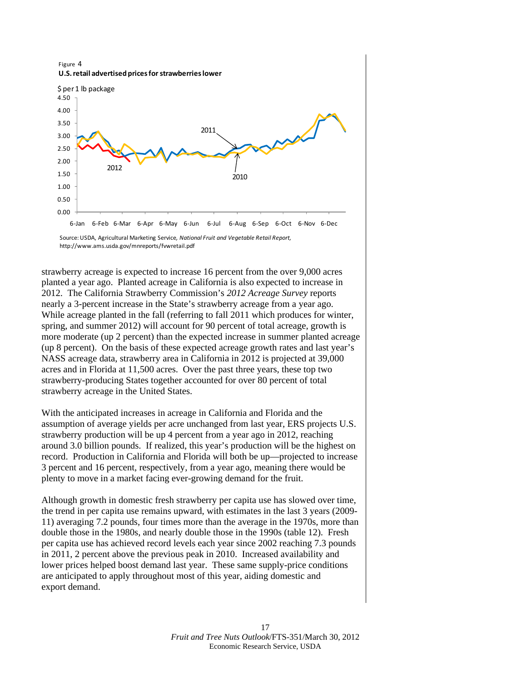Figure 4 **U.S.retail advertised pricesforstrawberrieslower**



Source:USDA, Agricultural Marketing Service*, National Fruit and Vegetable Retail Report,*  http://www.ams.usda.gov/mnreports/fvwretail.pdf

strawberry acreage is expected to increase 16 percent from the over 9,000 acres planted a year ago. Planted acreage in California is also expected to increase in 2012. The California Strawberry Commission's *2012 Acreage Survey* reports nearly a 3-percent increase in the State's strawberry acreage from a year ago. While acreage planted in the fall (referring to fall 2011 which produces for winter, spring, and summer 2012) will account for 90 percent of total acreage, growth is more moderate (up 2 percent) than the expected increase in summer planted acreage (up 8 percent). On the basis of these expected acreage growth rates and last year's NASS acreage data, strawberry area in California in 2012 is projected at 39,000 acres and in Florida at 11,500 acres. Over the past three years, these top two strawberry-producing States together accounted for over 80 percent of total strawberry acreage in the United States.

With the anticipated increases in acreage in California and Florida and the assumption of average yields per acre unchanged from last year, ERS projects U.S. strawberry production will be up 4 percent from a year ago in 2012, reaching around 3.0 billion pounds. If realized, this year's production will be the highest on record. Production in California and Florida will both be up—projected to increase 3 percent and 16 percent, respectively, from a year ago, meaning there would be plenty to move in a market facing ever-growing demand for the fruit.

Although growth in domestic fresh strawberry per capita use has slowed over time, the trend in per capita use remains upward, with estimates in the last 3 years (2009- 11) averaging 7.2 pounds, four times more than the average in the 1970s, more than double those in the 1980s, and nearly double those in the 1990s (table 12). Fresh per capita use has achieved record levels each year since 2002 reaching 7.3 pounds in 2011, 2 percent above the previous peak in 2010. Increased availability and lower prices helped boost demand last year. These same supply-price conditions are anticipated to apply throughout most of this year, aiding domestic and export demand.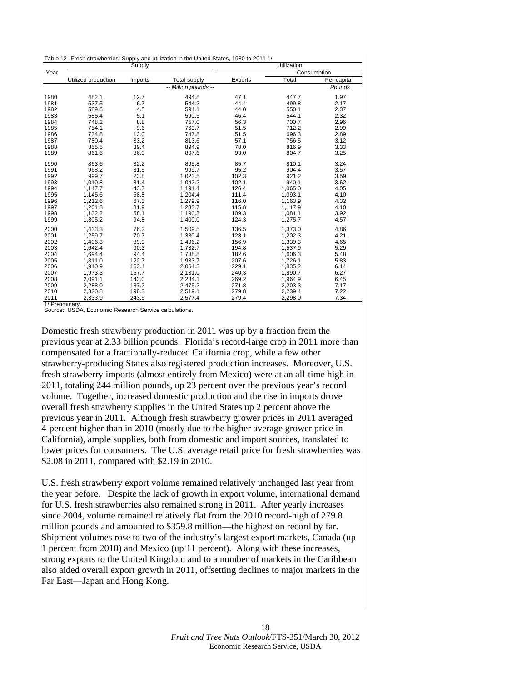<span id="page-16-0"></span>

| Table 12--Fresh strawberries: Supply and utilization in the United States, 1980 to 2011 1/ |
|--------------------------------------------------------------------------------------------|
|--------------------------------------------------------------------------------------------|

|      |                     | Supply  |                      | Utilization |             |            |  |
|------|---------------------|---------|----------------------|-------------|-------------|------------|--|
| Year |                     |         |                      |             | Consumption |            |  |
|      | Utilized production | Imports | <b>Total supply</b>  | Exports     | Total       | Per capita |  |
|      |                     |         | -- Million pounds -- |             |             | Pounds     |  |
| 1980 | 482.1               | 12.7    | 494.8                | 47.1        | 447.7       | 1.97       |  |
| 1981 | 537.5               | 6.7     | 544.2                | 44.4        | 499.8       | 2.17       |  |
| 1982 | 589.6               | 4.5     | 594.1                | 44.0        | 550.1       | 2.37       |  |
| 1983 | 585.4               | 5.1     | 590.5                | 46.4        | 544.1       | 2.32       |  |
| 1984 | 748.2               | 8.8     | 757.0                | 56.3        | 700.7       | 2.96       |  |
| 1985 | 754.1               | 9.6     | 763.7                | 51.5        | 712.2       | 2.99       |  |
| 1986 | 734.8               | 13.0    | 747.8                | 51.5        | 696.3       | 2.89       |  |
| 1987 | 780.4               | 33.2    | 813.6                | 57.1        | 756.5       | 3.12       |  |
| 1988 | 855.5               | 39.4    | 894.9                | 78.0        | 816.9       | 3.33       |  |
| 1989 | 861.6               | 36.0    | 897.6                | 93.0        | 804.7       | 3.25       |  |
| 1990 | 863.6               | 32.2    | 895.8                | 85.7        | 810.1       | 3.24       |  |
| 1991 | 968.2               | 31.5    | 999.7                | 95.2        | 904.4       | 3.57       |  |
| 1992 | 999.7               | 23.8    | 1,023.5              | 102.3       | 921.2       | 3.59       |  |
| 1993 | 1,010.8             | 31.4    | 1,042.2              | 102.1       | 940.1       | 3.62       |  |
| 1994 | 1,147.7             | 43.7    | 1,191.4              | 126.4       | 1,065.0     | 4.05       |  |
| 1995 | 1,145.6             | 58.8    | 1.204.4              | 111.4       | 1.093.1     | 4.10       |  |
| 1996 | 1,212.6             | 67.3    | 1,279.9              | 116.0       | 1,163.9     | 4.32       |  |
| 1997 | 1,201.8             | 31.9    | 1,233.7              | 115.8       | 1,117.9     | 4.10       |  |
| 1998 | 1,132.2             | 58.1    | 1,190.3              | 109.3       | 1,081.1     | 3.92       |  |
| 1999 | 1,305.2             | 94.8    | 1,400.0              | 124.3       | 1,275.7     | 4.57       |  |
| 2000 | 1.433.3             | 76.2    | 1.509.5              | 136.5       | 1.373.0     | 4.86       |  |
| 2001 | 1,259.7             | 70.7    | 1,330.4              | 128.1       | 1,202.3     | 4.21       |  |
| 2002 | 1,406.3             | 89.9    | 1,496.2              | 156.9       | 1,339.3     | 4.65       |  |
| 2003 | 1,642.4             | 90.3    | 1,732.7              | 194.8       | 1,537.9     | 5.29       |  |
| 2004 | 1,694.4             | 94.4    | 1,788.8              | 182.6       | 1,606.3     | 5.48       |  |
| 2005 | 1,811.0             | 122.7   | 1,933.7              | 207.6       | 1,726.1     | 5.83       |  |
| 2006 | 1,910.9             | 153.4   | 2,064.3              | 229.1       | 1,835.2     | 6.14       |  |
| 2007 | 1,973.3             | 157.7   | 2,131.0              | 240.3       | 1,890.7     | 6.27       |  |
| 2008 | 2,091.1             | 143.0   | 2,234.1              | 269.2       | 1,964.9     | 6.45       |  |
| 2009 | 2,288.0             | 187.2   | 2,475.2              | 271.8       | 2,203.3     | 7.17       |  |
| 2010 | 2,320.8             | 198.3   | 2,519.1              | 279.8       | 2,239.4     | 7.22       |  |
| 2011 | 2,333.9             | 243.5   | 2,577.4              | 279.4       | 2,298.0     | 7.34       |  |

1/ Preliminary. Source: USDA, Economic Research Service calculations.

Domestic fresh strawberry production in 2011 was up by a fraction from the previous year at 2.33 billion pounds. Florida's record-large crop in 2011 more than compensated for a fractionally-reduced California crop, while a few other strawberry-producing States also registered production increases. Moreover, U.S. fresh strawberry imports (almost entirely from Mexico) were at an all-time high in 2011, totaling 244 million pounds, up 23 percent over the previous year's record volume. Together, increased domestic production and the rise in imports drove overall fresh strawberry supplies in the United States up 2 percent above the previous year in 2011. Although fresh strawberry grower prices in 2011 averaged 4-percent higher than in 2010 (mostly due to the higher average grower price in California), ample supplies, both from domestic and import sources, translated to lower prices for consumers. The U.S. average retail price for fresh strawberries was \$2.08 in 2011, compared with \$2.19 in 2010.

U.S. fresh strawberry export volume remained relatively unchanged last year from the year before. Despite the lack of growth in export volume, international demand for U.S. fresh strawberries also remained strong in 2011. After yearly increases since 2004, volume remained relatively flat from the 2010 record-high of 279.8 million pounds and amounted to \$359.8 million—the highest on record by far. Shipment volumes rose to two of the industry's largest export markets, Canada (up 1 percent from 2010) and Mexico (up 11 percent). Along with these increases, strong exports to the United Kingdom and to a number of markets in the Caribbean also aided overall export growth in 2011, offsetting declines to major markets in the Far East—Japan and Hong Kong.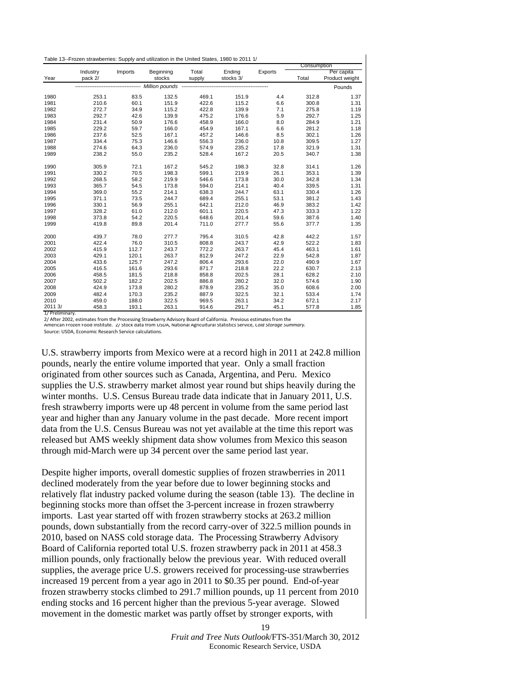|         |                     |         |                                                    |                 |                     |         | Consumption |                              |
|---------|---------------------|---------|----------------------------------------------------|-----------------|---------------------|---------|-------------|------------------------------|
| Year    | Industry<br>pack 2/ | Imports | Beginning<br>stocks                                | Total<br>supply | Ending<br>stocks 3/ | Exports | Total       | Per capita<br>Product weight |
|         |                     |         | -------------------------- Million pounds -------- |                 |                     |         |             |                              |
|         |                     |         |                                                    |                 |                     |         |             | Pounds                       |
| 1980    | 253.1               | 83.5    | 132.5                                              | 469.1           | 151.9               | 4.4     | 312.8       | 1.37                         |
| 1981    | 210.6               | 60.1    | 151.9                                              | 422.6           | 115.2               | 6.6     | 300.8       | 1.31                         |
| 1982    | 272.7               | 34.9    | 115.2                                              | 422.8           | 139.9               | 7.1     | 275.8       | 1.19                         |
| 1983    | 292.7               | 42.6    | 139.9                                              | 475.2           | 176.6               | 5.9     | 292.7       | 1.25                         |
| 1984    | 231.4               | 50.9    | 176.6                                              | 458.9           | 166.0               | 8.0     | 284.9       | 1.21                         |
| 1985    | 229.2               | 59.7    | 166.0                                              | 454.9           | 167.1               | 6.6     | 281.2       | 1.18                         |
| 1986    | 237.6               | 52.5    | 167.1                                              | 457.2           | 146.6               | 8.5     | 302.1       | 1.26                         |
| 1987    | 334.4               | 75.3    | 146.6                                              | 556.3           | 236.0               | 10.8    | 309.5       | 1.27                         |
| 1988    | 274.6               | 64.3    | 236.0                                              | 574.9           | 235.2               | 17.8    | 321.9       | 1.31                         |
| 1989    | 238.2               | 55.0    | 235.2                                              | 528.4           | 167.2               | 20.5    | 340.7       | 1.38                         |
| 1990    | 305.9               | 72.1    | 167.2                                              | 545.2           | 198.3               | 32.8    | 314.1       | 1.26                         |
| 1991    | 330.2               | 70.5    | 198.3                                              | 599.1           | 219.9               | 26.1    | 353.1       | 1.39                         |
| 1992    | 268.5               | 58.2    | 219.9                                              | 546.6           | 173.8               | 30.0    | 342.8       | 1.34                         |
| 1993    | 365.7               | 54.5    | 173.8                                              | 594.0           | 214.1               | 40.4    | 339.5       | 1.31                         |
| 1994    | 369.0               | 55.2    | 214.1                                              | 638.3           | 244.7               | 63.1    | 330.4       | 1.26                         |
| 1995    | 371.1               | 73.5    | 244.7                                              | 689.4           | 255.1               | 53.1    | 381.2       | 1.43                         |
| 1996    | 330.1               | 56.9    | 255.1                                              | 642.1           | 212.0               | 46.9    | 383.2       | 1.42                         |
| 1997    | 328.2               | 61.0    | 212.0                                              | 601.1           | 220.5               | 47.3    | 333.3       | 1.22                         |
| 1998    | 373.8               | 54.2    | 220.5                                              | 648.6           | 201.4               | 59.6    | 387.6       | 1.40                         |
| 1999    | 419.8               | 89.8    | 201.4                                              | 711.0           | 277.7               | 55.6    | 377.7       | 1.35                         |
| 2000    | 439.7               | 78.0    | 277.7                                              | 795.4           | 310.5               | 42.8    | 442.2       | 1.57                         |
| 2001    | 422.4               | 76.0    | 310.5                                              | 808.8           | 243.7               | 42.9    | 522.2       | 1.83                         |
| 2002    | 415.9               | 112.7   | 243.7                                              | 772.2           | 263.7               | 45.4    | 463.1       | 1.61                         |
| 2003    | 429.1               | 120.1   | 263.7                                              | 812.9           | 247.2               | 22.9    | 542.8       | 1.87                         |
| 2004    | 433.6               | 125.7   | 247.2                                              | 806.4           | 293.6               | 22.0    | 490.9       | 1.67                         |
| 2005    | 416.5               | 161.6   | 293.6                                              | 871.7           | 218.8               | 22.2    | 630.7       | 2.13                         |
| 2006    | 458.5               | 181.5   | 218.8                                              | 858.8           | 202.5               | 28.1    | 628.2       | 2.10                         |
| 2007    | 502.2               | 182.2   | 202.5                                              | 886.8           | 280.2               | 32.0    | 574.6       | 1.90                         |
| 2008    | 424.9               | 173.8   | 280.2                                              | 878.9           | 235.2               | 35.0    | 608.6       | 2.00                         |
| 2009    | 482.4               | 170.3   | 235.2                                              | 887.9           | 322.5               | 32.1    | 533.4       | 1.74                         |
| 2010    | 459.0               | 188.0   | 322.5                                              | 969.5           | 263.1               | 34.2    | 672.1       | 2.17                         |
| 2011 3/ | 458.3               | 193.1   | 263.1                                              | 914.6           | 291.7               | 45.1    | 577.8       | 1.85                         |

1/ Preliminary.

2/ After 2002, estimates from the Processing Strawberry Advisory Board of California. Previous estimates from the

American Frozen Food Institute. 2/ Stock data from USDA, National Agricultural Statistics Service, *Cold Storage Summary.*

Source: USDA, Economic Research Service calculations.

U.S. strawberry imports from Mexico were at a record high in 2011 at 242.8 million pounds, nearly the entire volume imported that year. Only a small fraction originated from other sources such as Canada, Argentina, and Peru. Mexico supplies the U.S. strawberry market almost year round but ships heavily during the winter months. U.S. Census Bureau trade data indicate that in January 2011, U.S. fresh strawberry imports were up 48 percent in volume from the same period last year and higher than any January volume in the past decade. More recent import data from the U.S. Census Bureau was not yet available at the time this report was released but AMS weekly shipment data show volumes from Mexico this season through mid-March were up 34 percent over the same period last year.

Despite higher imports, overall domestic supplies of frozen strawberries in 2011 declined moderately from the year before due to lower beginning stocks and relatively flat industry packed volume during the season (table 13). The decline in beginning stocks more than offset the 3-percent increase in frozen strawberry imports. Last year started off with frozen strawberry stocks at 263.2 million pounds, down substantially from the record carry-over of 322.5 million pounds in 2010, based on NASS cold storage data. The Processing Strawberry Advisory Board of California reported total U.S. frozen strawberry pack in 2011 at 458.3 million pounds, only fractionally below the previous year. With reduced overall supplies, the average price U.S. growers received for processing-use strawberries increased 19 percent from a year ago in 2011 to \$0.35 per pound. End-of-year frozen strawberry stocks climbed to 291.7 million pounds, up 11 percent from 2010 ending stocks and 16 percent higher than the previous 5-year average. Slowed movement in the domestic market was partly offset by stronger exports, with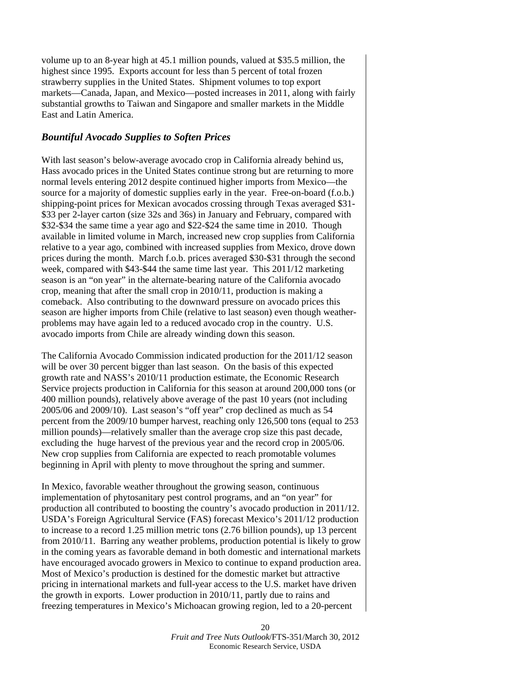volume up to an 8-year high at 45.1 million pounds, valued at \$35.5 million, the highest since 1995. Exports account for less than 5 percent of total frozen strawberry supplies in the United States. Shipment volumes to top export markets—Canada, Japan, and Mexico—posted increases in 2011, along with fairly substantial growths to Taiwan and Singapore and smaller markets in the Middle East and Latin America.

#### *Bountiful Avocado Supplies to Soften Prices*

With last season's below-average avocado crop in California already behind us, Hass avocado prices in the United States continue strong but are returning to more normal levels entering 2012 despite continued higher imports from Mexico—the source for a majority of domestic supplies early in the year. Free-on-board (f.o.b.) shipping-point prices for Mexican avocados crossing through Texas averaged \$31- \$33 per 2-layer carton (size 32s and 36s) in January and February, compared with \$32-\$34 the same time a year ago and \$22-\$24 the same time in 2010. Though available in limited volume in March, increased new crop supplies from California relative to a year ago, combined with increased supplies from Mexico, drove down prices during the month. March f.o.b. prices averaged \$30-\$31 through the second week, compared with \$43-\$44 the same time last year. This 2011/12 marketing season is an "on year" in the alternate-bearing nature of the California avocado crop, meaning that after the small crop in 2010/11, production is making a comeback. Also contributing to the downward pressure on avocado prices this season are higher imports from Chile (relative to last season) even though weatherproblems may have again led to a reduced avocado crop in the country. U.S. avocado imports from Chile are already winding down this season.

The California Avocado Commission indicated production for the 2011/12 season will be over 30 percent bigger than last season. On the basis of this expected growth rate and NASS's 2010/11 production estimate, the Economic Research Service projects production in California for this season at around 200,000 tons (or 400 million pounds), relatively above average of the past 10 years (not including 2005/06 and 2009/10). Last season's "off year" crop declined as much as 54 percent from the 2009/10 bumper harvest, reaching only 126,500 tons (equal to 253 million pounds)—relatively smaller than the average crop size this past decade, excluding the huge harvest of the previous year and the record crop in 2005/06. New crop supplies from California are expected to reach promotable volumes beginning in April with plenty to move throughout the spring and summer.

In Mexico, favorable weather throughout the growing season, continuous implementation of phytosanitary pest control programs, and an "on year" for production all contributed to boosting the country's avocado production in 2011/12. USDA's Foreign Agricultural Service (FAS) forecast Mexico's 2011/12 production to increase to a record 1.25 million metric tons (2.76 billion pounds), up 13 percent from 2010/11. Barring any weather problems, production potential is likely to grow in the coming years as favorable demand in both domestic and international markets have encouraged avocado growers in Mexico to continue to expand production area. Most of Mexico's production is destined for the domestic market but attractive pricing in international markets and full-year access to the U.S. market have driven the growth in exports. Lower production in 2010/11, partly due to rains and freezing temperatures in Mexico's Michoacan growing region, led to a 20-percent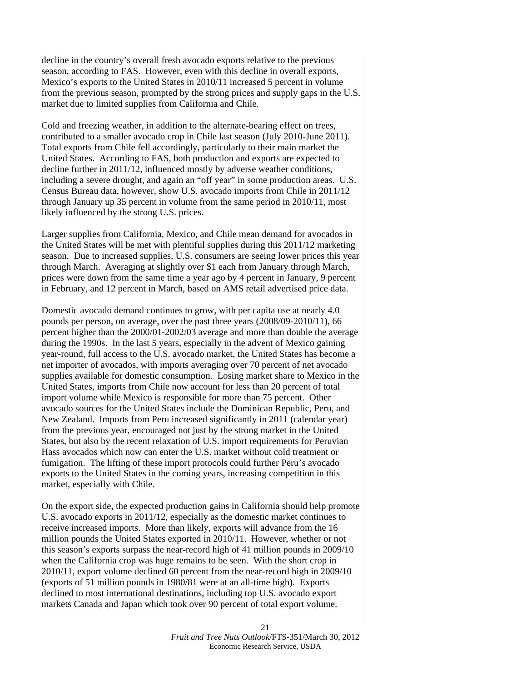decline in the country's overall fresh avocado exports relative to the previous season, according to FAS. However, even with this decline in overall exports, Mexico's exports to the United States in 2010/11 increased 5 percent in volume from the previous season, prompted by the strong prices and supply gaps in the U.S. market due to limited supplies from California and Chile.

Cold and freezing weather, in addition to the alternate-bearing effect on trees, contributed to a smaller avocado crop in Chile last season (July 2010-June 2011). Total exports from Chile fell accordingly, particularly to their main market the United States. According to FAS, both production and exports are expected to decline further in 2011/12, influenced mostly by adverse weather conditions, including a severe drought, and again an "off year" in some production areas. U.S. Census Bureau data, however, show U.S. avocado imports from Chile in 2011/12 through January up 35 percent in volume from the same period in 2010/11, most likely influenced by the strong U.S. prices.

Larger supplies from California, Mexico, and Chile mean demand for avocados in the United States will be met with plentiful supplies during this 2011/12 marketing season. Due to increased supplies, U.S. consumers are seeing lower prices this year through March. Averaging at slightly over \$1 each from January through March, prices were down from the same time a year ago by 4 percent in January, 9 percent in February, and 12 percent in March, based on AMS retail advertised price data.

Domestic avocado demand continues to grow, with per capita use at nearly 4.0 pounds per person, on average, over the past three years (2008/09-2010/11), 66 percent higher than the 2000/01-2002/03 average and more than double the average during the 1990s. In the last 5 years, especially in the advent of Mexico gaining year-round, full access to the U.S. avocado market, the United States has become a net importer of avocados, with imports averaging over 70 percent of net avocado supplies available for domestic consumption. Losing market share to Mexico in the United States, imports from Chile now account for less than 20 percent of total import volume while Mexico is responsible for more than 75 percent. Other avocado sources for the United States include the Dominican Republic, Peru, and New Zealand. Imports from Peru increased significantly in 2011 (calendar year) from the previous year, encouraged not just by the strong market in the United States, but also by the recent relaxation of U.S. import requirements for Peruvian Hass avocados which now can enter the U.S. market without cold treatment or fumigation. The lifting of these import protocols could further Peru's avocado exports to the United States in the coming years, increasing competition in this market, especially with Chile.

On the export side, the expected production gains in California should help promote U.S. avocado exports in 2011/12, especially as the domestic market continues to receive increased imports. More than likely, exports will advance from the 16 million pounds the United States exported in 2010/11. However, whether or not this season's exports surpass the near-record high of 41 million pounds in 2009/10 when the California crop was huge remains to be seen. With the short crop in 2010/11, export volume declined 60 percent from the near-record high in 2009/10 (exports of 51 million pounds in 1980/81 were at an all-time high). Exports declined to most international destinations, including top U.S. avocado export markets Canada and Japan which took over 90 percent of total export volume.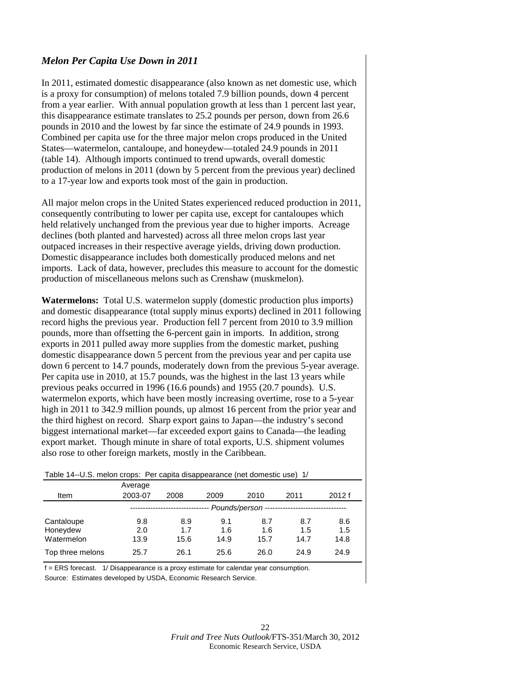#### <span id="page-20-0"></span>*Melon Per Capita Use Down in 2011*

In 2011, estimated domestic disappearance (also known as net domestic use, which is a proxy for consumption) of melons totaled 7.9 billion pounds, down 4 percent from a year earlier. With annual population growth at less than 1 percent last year, this disappearance estimate translates to 25.2 pounds per person, down from 26.6 pounds in 2010 and the lowest by far since the estimate of 24.9 pounds in 1993. Combined per capita use for the three major melon crops produced in the United States—watermelon, cantaloupe, and honeydew—totaled 24.9 pounds in 2011 (table 14). Although imports continued to trend upwards, overall domestic production of melons in 2011 (down by 5 percent from the previous year) declined to a 17-year low and exports took most of the gain in production.

All major melon crops in the United States experienced reduced production in 2011, consequently contributing to lower per capita use, except for cantaloupes which held relatively unchanged from the previous year due to higher imports. Acreage declines (both planted and harvested) across all three melon crops last year outpaced increases in their respective average yields, driving down production. Domestic disappearance includes both domestically produced melons and net imports. Lack of data, however, precludes this measure to account for the domestic production of miscellaneous melons such as Crenshaw (muskmelon).

**Watermelons:** Total U.S. watermelon supply (domestic production plus imports) and domestic disappearance (total supply minus exports) declined in 2011 following record highs the previous year. Production fell 7 percent from 2010 to 3.9 million pounds, more than offsetting the 6-percent gain in imports. In addition, strong exports in 2011 pulled away more supplies from the domestic market, pushing domestic disappearance down 5 percent from the previous year and per capita use down 6 percent to 14.7 pounds, moderately down from the previous 5-year average. Per capita use in 2010, at 15.7 pounds, was the highest in the last 13 years while previous peaks occurred in 1996 (16.6 pounds) and 1955 (20.7 pounds). U.S. watermelon exports, which have been mostly increasing overtime, rose to a 5-year high in 2011 to 342.9 million pounds, up almost 16 percent from the prior year and the third highest on record. Sharp export gains to Japan—the industry's second biggest international market—far exceeded export gains to Canada—the leading export market. Though minute in share of total exports, U.S. shipment volumes also rose to other foreign markets, mostly in the Caribbean.

| Table 14--0.5. melon crops: Per capita disappearance (net domestic use) 1/ |         |      |      |                   |      |       |  |  |  |
|----------------------------------------------------------------------------|---------|------|------|-------------------|------|-------|--|--|--|
|                                                                            | Average |      |      |                   |      |       |  |  |  |
| Item                                                                       | 2003-07 | 2008 | 2009 | 2010              | 2011 | 2012f |  |  |  |
|                                                                            |         |      |      | Pounds/person --- |      |       |  |  |  |
| Cantaloupe                                                                 | 9.8     | 8.9  | 9.1  | 8.7               | 8.7  | 8.6   |  |  |  |
| Honeydew                                                                   | 2.0     | 1.7  | 1.6  | 1.6               | 1.5  | 1.5   |  |  |  |
| Watermelon                                                                 | 13.9    | 15.6 | 14.9 | 15.7              | 14.7 | 14.8  |  |  |  |
| Top three melons                                                           | 25.7    | 26.1 | 25.6 | 26.0              | 24.9 | 24.9  |  |  |  |

 $T_{\rm eff}$  melon crops: Per capital disappearance (net domestic use) 1/4/2

f = ERS forecast. 1/ Disappearance is a proxy estimate for calendar year consumption. Source: Estimates developed by USDA, Economic Research Service.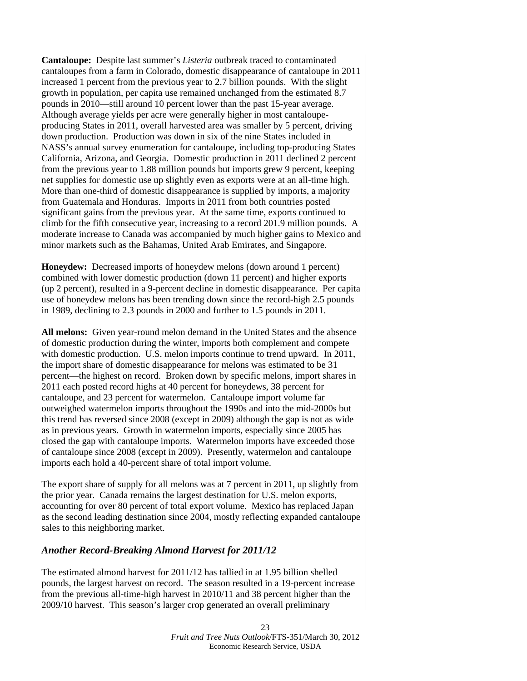**Cantaloupe:** Despite last summer's *Listeria* outbreak traced to contaminated cantaloupes from a farm in Colorado, domestic disappearance of cantaloupe in 2011 increased 1 percent from the previous year to 2.7 billion pounds. With the slight growth in population, per capita use remained unchanged from the estimated 8.7 pounds in 2010—still around 10 percent lower than the past 15-year average. Although average yields per acre were generally higher in most cantaloupeproducing States in 2011, overall harvested area was smaller by 5 percent, driving down production. Production was down in six of the nine States included in NASS's annual survey enumeration for cantaloupe, including top-producing States California, Arizona, and Georgia. Domestic production in 2011 declined 2 percent from the previous year to 1.88 million pounds but imports grew 9 percent, keeping net supplies for domestic use up slightly even as exports were at an all-time high. More than one-third of domestic disappearance is supplied by imports, a majority from Guatemala and Honduras. Imports in 2011 from both countries posted significant gains from the previous year. At the same time, exports continued to climb for the fifth consecutive year, increasing to a record 201.9 million pounds. A moderate increase to Canada was accompanied by much higher gains to Mexico and minor markets such as the Bahamas, United Arab Emirates, and Singapore.

**Honeydew:** Decreased imports of honeydew melons (down around 1 percent) combined with lower domestic production (down 11 percent) and higher exports (up 2 percent), resulted in a 9-percent decline in domestic disappearance. Per capita use of honeydew melons has been trending down since the record-high 2.5 pounds in 1989, declining to 2.3 pounds in 2000 and further to 1.5 pounds in 2011.

**All melons:** Given year-round melon demand in the United States and the absence of domestic production during the winter, imports both complement and compete with domestic production. U.S. melon imports continue to trend upward. In 2011, the import share of domestic disappearance for melons was estimated to be 31 percent—the highest on record. Broken down by specific melons, import shares in 2011 each posted record highs at 40 percent for honeydews, 38 percent for cantaloupe, and 23 percent for watermelon. Cantaloupe import volume far outweighed watermelon imports throughout the 1990s and into the mid-2000s but this trend has reversed since 2008 (except in 2009) although the gap is not as wide as in previous years. Growth in watermelon imports, especially since 2005 has closed the gap with cantaloupe imports. Watermelon imports have exceeded those of cantaloupe since 2008 (except in 2009). Presently, watermelon and cantaloupe imports each hold a 40-percent share of total import volume.

The export share of supply for all melons was at 7 percent in 2011, up slightly from the prior year. Canada remains the largest destination for U.S. melon exports, accounting for over 80 percent of total export volume. Mexico has replaced Japan as the second leading destination since 2004, mostly reflecting expanded cantaloupe sales to this neighboring market.

#### *Another Record-Breaking Almond Harvest for 2011/12*

The estimated almond harvest for 2011/12 has tallied in at 1.95 billion shelled pounds, the largest harvest on record. The season resulted in a 19-percent increase from the previous all-time-high harvest in 2010/11 and 38 percent higher than the 2009/10 harvest. This season's larger crop generated an overall preliminary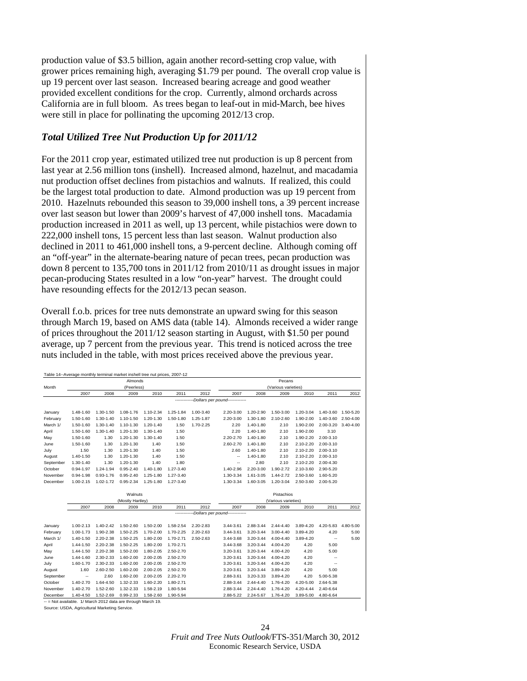production value of \$3.5 billion, again another record-setting crop value, with grower prices remaining high, averaging \$1.79 per pound. The overall crop value is up 19 percent over last season. Increased bearing acreage and good weather provided excellent conditions for the crop. Currently, almond orchards across California are in full bloom. As trees began to leaf-out in mid-March, bee hives were still in place for pollinating the upcoming 2012/13 crop.

#### *Total Utilized Tree Nut Production Up for 2011/12*

For the 2011 crop year, estimated utilized tree nut production is up 8 percent from last year at 2.56 million tons (inshell). Increased almond, hazelnut, and macadamia nut production offset declines from pistachios and walnuts. If realized, this could be the largest total production to date. Almond production was up 19 percent from 2010. Hazelnuts rebounded this season to 39,000 inshell tons, a 39 percent increase over last season but lower than 2009's harvest of 47,000 inshell tons. Macadamia production increased in 2011 as well, up 13 percent, while pistachios were down to 222,000 inshell tons, 15 percent less than last season. Walnut production also declined in 2011 to 461,000 inshell tons, a 9-percent decline. Although coming off an "off-year" in the alternate-bearing nature of pecan trees, pecan production was down 8 percent to 135,700 tons in 2011/12 from 2010/11 as drought issues in major pecan-producing States resulted in a low "on-year" harvest. The drought could have resounding effects for the 2012/13 pecan season.

Overall f.o.b. prices for tree nuts demonstrate an upward swing for this season through March 19, based on AMS data (table 14). Almonds received a wider range of prices throughout the 2011/12 season starting in August, with \$1.50 per pound average, up 7 percent from the previous year. This trend is noticed across the tree nuts included in the table, with most prices received above the previous year.

| Table 14--Average monthly terminal market inshell tree nut prices, 2007-12 |                          |               |               |           |           |           |                                 |                     |                     |           |                          |                     |
|----------------------------------------------------------------------------|--------------------------|---------------|---------------|-----------|-----------|-----------|---------------------------------|---------------------|---------------------|-----------|--------------------------|---------------------|
|                                                                            | Almonds                  |               |               |           | Pecans    |           |                                 |                     |                     |           |                          |                     |
| Month                                                                      |                          |               | (Peerless)    |           |           |           |                                 |                     | (Various varieties) |           |                          |                     |
|                                                                            | 2007                     | 2008          | 2009          | 2010      | 2011      | 2012      | 2007                            | 2008                | 2009                | 2010      | 2011                     | 2012                |
|                                                                            |                          |               |               |           |           |           | -Dollars per pound------------  |                     |                     |           |                          |                     |
| January                                                                    | 1.48-1.60                | 1.30-1.50     | 1.08-1.76     | 1.10-2.34 | 1.25-1.84 | 1.00-3.40 | 2.20-3.00                       | 1.20-2.90           | 1.50-3.00           | 1.20-3.04 |                          | 1.40-3.60 1.50-5.20 |
| February                                                                   | 1.50-1.60                | 1.30-1.40     | 1.10-1.50     | 1.20-1.30 | 1.50-1.80 | 1.25-1.87 | 2.20-3.00                       | 1.30-1.80           | 2.10-2.60           | 1.90-2.00 | 1.40-3.60                | 2.50-4.00           |
| March 1/                                                                   | 1.50-1.60                | 1.30-1.40     | 1.10-1.30     | 1.20-1.40 | 1.50      | 1.70-2.25 | 2.20                            | 1.40-1.80           | 2.10                | 1.90-2.00 | 2.00-3.20                | 3.40-4.00           |
| April                                                                      | 1.50-1.60                | 1.30-1.40     | 1.20-1.30     | 1.30-1.40 | 1.50      |           | 2.20                            | 1.40-1.80           | 2.10                | 1.90-2.00 | 3.10                     |                     |
| May                                                                        | 1.50-1.60                | 1.30          | 1.20-1.30     | 1.30-1.40 | 1.50      |           | 2.20-2.70                       | 1.40-1.80           | 2.10                | 1.90-2.20 | 2.00-3.10                |                     |
| June                                                                       | 1.50-1.60                | 1.30          | 1.20-1.30     | 1.40      | 1.50      |           | 2.60-2.70                       | 1.40-1.80           | 2.10                | 2.10-2.20 | 2.00-3.10                |                     |
| July                                                                       | 1.50                     | 1.30          | 1.20-1.30     | 1.40      | 1.50      |           | 2.60                            | 1.40-1.80           | 2.10                | 2.10-2.20 | 2.00-3.10                |                     |
| August                                                                     | 1.40-1.50                | 1.30          | 1.20-1.30     | 1.40      | 1.50      |           | $\overline{\phantom{a}}$        | 1.40-1.80           | 2.10                | 2.10-2.20 | 2.00-3.10                |                     |
| September                                                                  | 1.30-1.40                | 1.30          | 1.20-1.30     | 1.40      | 1.80      |           | ۰.                              | 2.80                | 2.10                | 2.10-2.20 | 2.00-4.30                |                     |
| October                                                                    | $0.94 - 1.97$            | 1.24-1.94     | $0.95 - 2.40$ | 1.40-1.80 | 1.27-3.40 |           | 1.40-2.96                       | 2.20-3.00           | 1.90-2.72           | 2.10-3.60 | 2.90-5.20                |                     |
| November                                                                   | $0.94 - 1.98$            | $0.93 - 1.76$ | $0.95 - 2.40$ | 1.25-1.80 | 1.27-3.40 |           | 1.30-3.34                       | 1.61-3.05           | 1.44-2.72           | 2.50-3.60 | 1.60-5.20                |                     |
| December                                                                   | 1.00-2.15                | 1.02-1.72     | 0.95-2.34     | 1.25-1.80 | 1.27-3.40 |           | 1.30-3.34                       | 1.60-3.05           | 1.20-3.04           | 2.50-3.60 | 2.00-5.20                |                     |
|                                                                            |                          |               | Walnuts       |           |           |           |                                 |                     | Pistachios          |           |                          |                     |
|                                                                            | (Mostly Hartley)         |               |               |           |           |           |                                 | (Various varieties) |                     |           |                          |                     |
|                                                                            | 2007                     | 2008          | 2009          | 2010      | 2011      | 2012      | 2007                            | 2008                | 2009                | 2010      | 2011                     | 2012                |
|                                                                            |                          |               |               |           |           |           | -Dollars per pound------------- |                     |                     |           |                          |                     |
| January                                                                    | 1.00-2.13                | 1.40-2.42     | 1.50-2.60     | 1.50-2.00 | 1.58-2.54 | 2.20-2.83 | 3.44-3.61                       | 2.88-3.44           | 2.44-4.40           | 3.89-4.20 | 4.20-5.83                | 4.80-5.00           |
| February                                                                   | 1.00-1.73                | 1.90-2.38     | 1.50-2.25     | 1.70-2.00 | 1.70-2.25 | 2.20-2.63 | 3.44-3.61                       | 3.20-3.44           | $3.00 - 4.40$       | 3.89-4.20 | 4.20                     | 5.00                |
| March 1/                                                                   | 1.40-1.50                | 2.20-2.38     | 1.50-2.25     | 1.80-2.00 | 1.70-2.71 | 2.50-2.63 | 3.44-3.68                       | 3.20-3.44           | 4.00-4.40           | 3.89-4.20 | --                       | 5.00                |
| April                                                                      | 1.44-1.50                | 2.20-2.38     | 1.50-2.25     | 1.80-2.00 | 1.70-2.71 |           | 3.44-3.68                       | 3.20-3.44           | 4.00-4.20           | 4.20      | 5.00                     |                     |
| May                                                                        | 1.44-1.50                | 2.20-2.38     | 1.50-2.00     | 1.80-2.05 | 2.50-2.70 |           | 3.20-3.61                       | 3.20-3.44           | 4.00-4.20           | 4.20      | 5.00                     |                     |
| June                                                                       | 1.44-1.60                | 2.30-2.33     | 1.60-2.00     | 2.00-2.05 | 2.50-2.70 |           | 3.20-3.61                       | 3.20-3.44           | 4.00-4.20           | 4.20      |                          |                     |
| July                                                                       | 1.60-1.70                | 2.30-2.33     | 1.60-2.00     | 2.00-2.05 | 2.50-2.70 |           | 3.20-3.61                       | 3.20-3.44           | 4.00-4.20           | 4.20      | $\overline{\phantom{a}}$ |                     |
| August                                                                     | 1.60                     | 2.60-2.50     | 1.60-2.00     | 2.00-2.05 | 2.50-2.70 |           | 3.20-3.61                       | 3.20-3.44           | 3.89-4.20           | 4.20      | 5.00                     |                     |
| September                                                                  | $\overline{\phantom{a}}$ | 2.60          | 1.60-2.00     | 2.00-2.05 | 2.20-2.70 |           | 2.88-3.61                       | 3.20-3.33           | 3.89-4.20           | 4.20      | 5.00-5.38                |                     |
| October                                                                    | 1.40-2.70                | 1.64-4.50     | 1.32-2.33     | 1.60-2.20 | 1.80-2.71 |           | 2.88-3.44                       | 2.44-4.40           | 1.76-4.20           | 4.20-5.00 | 2.64-5.38                |                     |
| November                                                                   | 1.40-2.70                | 1.52-2.60     | 1.32-2.33     | 1.58-2.19 | 1.80-5.94 |           | 2.88-3.44                       | 2.24-4.40           | 1.76-4.20           | 4.20-4.44 | 2.40-6.64                |                     |
|                                                                            |                          |               |               |           |           |           |                                 |                     |                     |           |                          |                     |

-- = Not available. 1/ March 2012 data are through March 19. Source: USDA, Agricultural Marketing Service.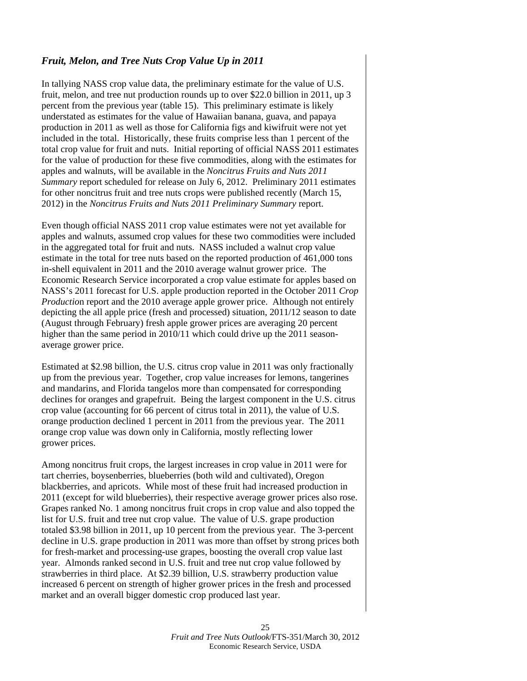#### *Fruit, Melon, and Tree Nuts Crop Value Up in 2011*

In tallying NASS crop value data, the preliminary estimate for the value of U.S. fruit, melon, and tree nut production rounds up to over \$22.0 billion in 2011, up 3 percent from the previous year (table 15). This preliminary estimate is likely understated as estimates for the value of Hawaiian banana, guava, and papaya production in 2011 as well as those for California figs and kiwifruit were not yet included in the total. Historically, these fruits comprise less than 1 percent of the total crop value for fruit and nuts. Initial reporting of official NASS 2011 estimates for the value of production for these five commodities, along with the estimates for apples and walnuts, will be available in the *Noncitrus Fruits and Nuts 2011 Summary* report scheduled for release on July 6, 2012. Preliminary 2011 estimates for other noncitrus fruit and tree nuts crops were published recently (March 15, 2012) in the *Noncitrus Fruits and Nuts 2011 Preliminary Summary* report.

Even though official NASS 2011 crop value estimates were not yet available for apples and walnuts, assumed crop values for these two commodities were included in the aggregated total for fruit and nuts. NASS included a walnut crop value estimate in the total for tree nuts based on the reported production of 461,000 tons in-shell equivalent in 2011 and the 2010 average walnut grower price. The Economic Research Service incorporated a crop value estimate for apples based on NASS's 2011 forecast for U.S. apple production reported in the October 2011 *Crop Productio*n report and the 2010 average apple grower price. Although not entirely depicting the all apple price (fresh and processed) situation, 2011/12 season to date (August through February) fresh apple grower prices are averaging 20 percent higher than the same period in 2010/11 which could drive up the 2011 seasonaverage grower price.

Estimated at \$2.98 billion, the U.S. citrus crop value in 2011 was only fractionally up from the previous year. Together, crop value increases for lemons, tangerines and mandarins, and Florida tangelos more than compensated for corresponding declines for oranges and grapefruit. Being the largest component in the U.S. citrus crop value (accounting for 66 percent of citrus total in 2011), the value of U.S. orange production declined 1 percent in 2011 from the previous year. The 2011 orange crop value was down only in California, mostly reflecting lower grower prices.

Among noncitrus fruit crops, the largest increases in crop value in 2011 were for tart cherries, boysenberries, blueberries (both wild and cultivated), Oregon blackberries, and apricots. While most of these fruit had increased production in 2011 (except for wild blueberries), their respective average grower prices also rose. Grapes ranked No. 1 among noncitrus fruit crops in crop value and also topped the list for U.S. fruit and tree nut crop value. The value of U.S. grape production totaled \$3.98 billion in 2011, up 10 percent from the previous year. The 3-percent decline in U.S. grape production in 2011 was more than offset by strong prices both for fresh-market and processing-use grapes, boosting the overall crop value last year. Almonds ranked second in U.S. fruit and tree nut crop value followed by strawberries in third place. At \$2.39 billion, U.S. strawberry production value increased 6 percent on strength of higher grower prices in the fresh and processed market and an overall bigger domestic crop produced last year.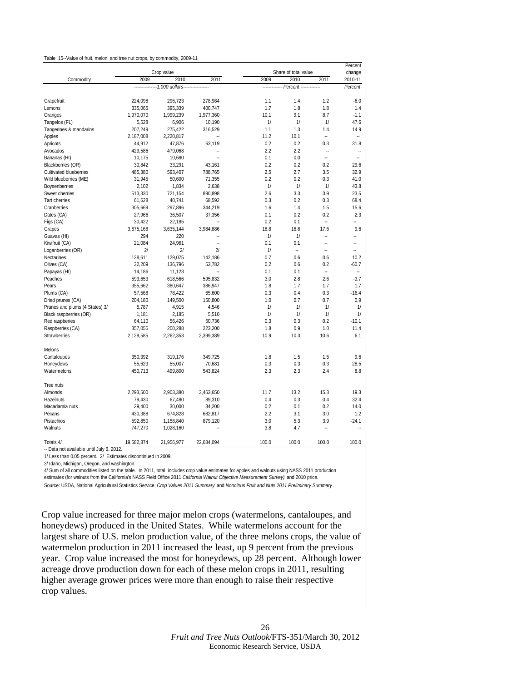|                                |                                    |                                               |                          | Share of total value |                                             |                          |                          |
|--------------------------------|------------------------------------|-----------------------------------------------|--------------------------|----------------------|---------------------------------------------|--------------------------|--------------------------|
| Commodity                      | Crop value<br>2011<br>2009<br>2010 |                                               |                          | 2009                 | change<br>2010-11                           |                          |                          |
|                                |                                    | ---------------1,000 dollars----------------- |                          |                      | 2010<br>------------- Percent ------------- | 2011                     | Percent                  |
|                                |                                    |                                               |                          |                      |                                             |                          |                          |
| Grapefruit                     | 224,098                            | 296,723                                       | 278,984                  | 1.1                  | 1.4                                         | 1.2                      | $-6.0$                   |
| Lemons                         | 335,065                            | 395,339                                       | 400,747                  | 1.7                  | 1.8                                         | 1.8                      | 1.4                      |
| Oranges                        | 1,970,070                          | 1,999,239                                     | 1,977,360                | 10.1                 | 9.1                                         | 8.7                      | $-1.1$                   |
| Tangelos (FL)                  | 5,528                              | 6,906                                         | 10,190                   | 1/                   | 1/                                          | 1/                       | 47.6                     |
| Tangerines & mandarins         | 207,249                            | 275,422                                       | 316,529                  | 1.1                  | 1.3                                         | 1.4                      | 14.9                     |
| Apples                         | 2,187,008                          | 2,220,817                                     |                          | 11.2                 | 10.1                                        | $\overline{\phantom{a}}$ | ٠.                       |
| Apricots                       | 44,912                             | 47,876                                        | 63,119                   | 0.2                  | 0.2                                         | 0.3                      | 31.8                     |
| Avocados                       | 429,586                            | 479,068                                       | Ξ.                       | 2.2                  | 2.2                                         | $\ddot{\phantom{a}}$     | Ξ.                       |
| Bananas (HI)                   | 10,175                             | 10,680                                        | $\overline{\phantom{a}}$ | 0.1                  | 0.0                                         | $\overline{\phantom{a}}$ | $\ddot{\phantom{a}}$     |
| Blackberries (OR)              | 30,842                             | 33,291                                        | 43,161                   | 0.2                  | 0.2                                         | 0.2                      | 29.6                     |
| <b>Cultivated blueberries</b>  | 485,380                            | 593,407                                       | 788,765                  | 2.5                  | 2.7                                         | 3.5                      | 32.9                     |
| Wild blueberries (ME)          | 31,945                             | 50,600                                        | 71,355                   | 0.2                  | 0.2                                         | 0.3                      | 41.0                     |
| <b>Boysenberries</b>           | 2,102                              | 1,834                                         | 2,638                    | 1/                   | 1/                                          | 1/                       | 43.8                     |
| Sweet cherries                 | 513,330                            | 721,154                                       | 890,898                  | 2.6                  | 3.3                                         | 3.9                      | 23.5                     |
| <b>Tart cherries</b>           | 61,628                             | 40,741                                        | 68,592                   | 0.3                  | 0.2                                         | 0.3                      | 68.4                     |
| Cranberries                    | 305,669                            | 297,896                                       | 344,219                  | 1.6                  | 1.4                                         | 1.5                      | 15.6                     |
| Dates (CA)                     | 27,966                             | 36,507                                        | 37,356                   | 0.1                  | 0.2                                         | 0.2                      | 2.3                      |
| Figs (CA)                      | 30,422                             | 22,185                                        |                          | 0.2                  | 0.1                                         |                          |                          |
| Grapes                         | 3,675,168                          | 3,635,144                                     | 3,984,886                | 18.8                 | 16.6                                        | 17.6                     | 9.6                      |
| Guavas (HI)                    | 294                                | 220                                           | Ξ.                       | 1/                   | 1/                                          |                          | −−                       |
| Kiwifruit (CA)                 | 21,084                             | 24,961                                        | $\overline{\phantom{a}}$ | 0.1                  | 0.1                                         | $\overline{\phantom{a}}$ | $\overline{\phantom{a}}$ |
| Loganberries (OR)              | 2l                                 | 2 <sup>1</sup>                                | 21                       | 1/                   | --                                          | --                       | Ξ.                       |
| Nectarines                     | 138,611                            | 129,075                                       | 142,186                  | 0.7                  | 0.6                                         | 0.6                      | 10.2                     |
| Olives (CA)                    | 32,209                             | 136,796                                       | 53,782                   | 0.2                  | 0.6                                         | 0.2                      | $-60.7$                  |
| Papayas (HI)                   | 14,186                             | 11,123                                        |                          | 0.1                  | 0.1                                         | $\ddotsc$                | $\overline{a}$           |
| Peaches                        | 593,653                            | 618,566                                       | 595,832                  | 3.0                  | 2.8                                         | 2.6                      | $-3.7$                   |
| Pears                          | 355,662                            | 380,647                                       | 386,947                  | 1.8                  | 1.7                                         | 1.7                      | 1.7                      |
| Plums (CA)                     | 57,568                             | 78,422                                        | 65,600                   | 0.3                  | 0.4                                         | 0.3                      | $-16.4$                  |
| Dried prunes (CA)              | 204,180                            | 149,500                                       | 150,800                  | 1.0                  | 0.7                                         | 0.7                      | 0.9                      |
| Prunes and plums (4 States) 3/ | 5,787                              | 4,915                                         | 4,546                    | 1/                   | 1/                                          | 1/                       | 1/                       |
| Black raspberries (OR)         | 1,181                              | 2,185                                         | 5,510                    | 1/                   | 1/                                          | 1/                       | 1/                       |
| Red raspberies                 | 64,110                             | 56,426                                        | 50,736                   | 0.3                  | 0.3                                         | 0.2                      | $-10.1$                  |
| Raspberries (CA)               | 357,055                            | 200,288                                       | 223,200                  | 1.8                  | 0.9                                         | 1.0                      | 11.4                     |
| Strawberries                   | 2,129,585                          | 2,262,353                                     | 2,399,389                | 10.9                 | 10.3                                        | 10.6                     | 6.1                      |
|                                |                                    |                                               |                          |                      |                                             |                          |                          |
| Melons                         |                                    |                                               |                          |                      |                                             |                          |                          |
| Cantaloupes                    | 350,392                            | 319,176                                       | 349,725                  | 1.8                  | 1.5                                         | 1.5                      | 9.6                      |
| Honeydews                      | 55,623                             | 55,007                                        | 70,681                   | 0.3                  | 0.3                                         | 0.3                      | 28.5                     |
| Watermelons                    | 450,713                            | 499,800                                       | 543,824                  | 2.3                  | 2.3                                         | 2.4                      | 8.8                      |
|                                |                                    |                                               |                          |                      |                                             |                          |                          |
| Tree nuts                      |                                    |                                               |                          |                      |                                             |                          |                          |
| Almonds                        | 2,293,500                          | 2,903,380                                     | 3,463,650                | 11.7                 | 13.2                                        | 15.3                     | 19.3                     |
| Hazelnuts                      | 79,430                             | 67,480                                        | 89,310                   | 0.4                  | 0.3                                         | 0.4                      | 32.4                     |
| Macadamia nuts                 | 29,400                             | 30,000                                        | 34,200                   | 0.2                  | 0.1                                         | 0.2                      | 14.0                     |
| Pecans                         | 430,388                            | 674,828                                       | 682,817                  | 2.2                  | 3.1                                         | 3.0                      | 1.2                      |
| Pistachios                     | 592,850                            | 1,158,840                                     | 879,120                  | 3.0                  | 5.3                                         | 3.9                      | $-24.1$                  |
| Walnuts                        | 747,270                            | 1,028,160                                     | ٠.                       | 3.8                  | 4.7                                         |                          | ۰.                       |
|                                |                                    |                                               |                          |                      |                                             |                          |                          |
| Totals 4/                      | 19.582.874                         | 21,956,977                                    | 22.684.094               | 100.0                | 100.0                                       | 100.0                    | 100.0                    |

-- Data not available until July 6, 2012.

1/ Less than 0.05 percent. 2/ Estimates discontinued in 2009.

3/ Idaho, Michigan, Oregon, and washington.

4/ Sum of all commodities listed on the table. In 2011, total includes crop value estimates for apples and walnuts using NASS 2011 production estimates (for walnuts from the California's NASS Field Office 2011 *California Walnut Objective Measurement Survey)* and 2010 price. Source: USDA, National Agricultural Statistics Service, *Crop Values 2011 Summary* and *Noncitrus Fruit and Nuts 2011 Preliminary Summary* .

Crop value increased for three major melon crops (watermelons, cantaloupes, and honeydews) produced in the United States. While watermelons account for the largest share of U.S. melon production value, of the three melons crops, the value of watermelon production in 2011 increased the least, up 9 percent from the previous year. Crop value increased the most for honeydews, up 28 percent. Although lower acreage drove production down for each of these melon crops in 2011, resulting higher average grower prices were more than enough to raise their respective crop values.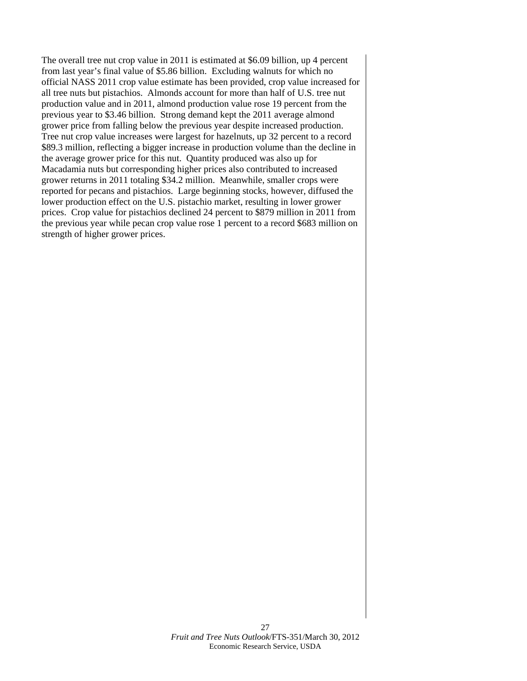The overall tree nut crop value in 2011 is estimated at \$6.09 billion, up 4 percent from last year's final value of \$5.86 billion. Excluding walnuts for which no official NASS 2011 crop value estimate has been provided, crop value increased for all tree nuts but pistachios. Almonds account for more than half of U.S. tree nut production value and in 2011, almond production value rose 19 percent from the previous year to \$3.46 billion. Strong demand kept the 2011 average almond grower price from falling below the previous year despite increased production. Tree nut crop value increases were largest for hazelnuts, up 32 percent to a record \$89.3 million, reflecting a bigger increase in production volume than the decline in the average grower price for this nut. Quantity produced was also up for Macadamia nuts but corresponding higher prices also contributed to increased grower returns in 2011 totaling \$34.2 million. Meanwhile, smaller crops were reported for pecans and pistachios. Large beginning stocks, however, diffused the lower production effect on the U.S. pistachio market, resulting in lower grower prices. Crop value for pistachios declined 24 percent to \$879 million in 2011 from the previous year while pecan crop value rose 1 percent to a record \$683 million on strength of higher grower prices.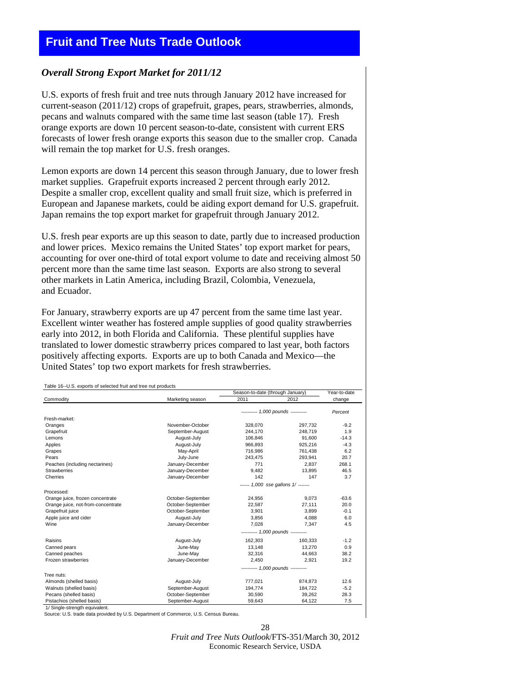# <span id="page-26-0"></span>**Fruit and Tree Nuts Trade Outlook**

#### *Overall Strong Export Market for 2011/12*

U.S. exports of fresh fruit and tree nuts through January 2012 have increased for current-season (2011/12) crops of grapefruit, grapes, pears, strawberries, almonds, pecans and walnuts compared with the same time last season (table 17). Fresh orange exports are down 10 percent season-to-date, consistent with current ERS forecasts of lower fresh orange exports this season due to the smaller crop. Canada will remain the top market for U.S. fresh oranges.

Lemon exports are down 14 percent this season through January, due to lower fresh market supplies. Grapefruit exports increased 2 percent through early 2012. Despite a smaller crop, excellent quality and small fruit size, which is preferred in European and Japanese markets, could be aiding export demand for U.S. grapefruit. Japan remains the top export market for grapefruit through January 2012.

U.S. fresh pear exports are up this season to date, partly due to increased production and lower prices. Mexico remains the United States' top export market for pears, accounting for over one-third of total export volume to date and receiving almost 50 percent more than the same time last season. Exports are also strong to several other markets in Latin America, including Brazil, Colombia, Venezuela, and Ecuador.

For January, strawberry exports are up 47 percent from the same time last year. Excellent winter weather has fostered ample supplies of good quality strawberries early into 2012, in both Florida and California. These plentiful supplies have translated to lower domestic strawberry prices compared to last year, both factors positively affecting exports. Exports are up to both Canada and Mexico—the United States' top two export markets for fresh strawberries.

|                                    |                                     | Season-to-date (through January)   |         | Year-to-date |
|------------------------------------|-------------------------------------|------------------------------------|---------|--------------|
| Commodity                          | Marketing season                    | 2011                               | 2012    | change       |
|                                    |                                     | ---------- 1,000 pounds ---------- |         | Percent      |
| Fresh-market:                      |                                     |                                    |         |              |
| Oranges                            | November-October                    | 328,070                            | 297,732 | $-9.2$       |
| Grapefruit                         | September-August                    | 244.170                            | 248.719 | 1.9          |
| Lemons                             | August-July                         | 106,846                            | 91,600  | $-14.3$      |
| Apples                             | August-July                         | 966,893                            | 925,216 | $-4.3$       |
| Grapes                             | May-April                           | 716,986                            | 761,438 | 6.2          |
| Pears                              | July-June                           | 243,475                            | 293.941 | 20.7         |
| Peaches (including nectarines)     | January-December                    | 771                                | 2.837   | 268.1        |
| <b>Strawberries</b>                | January-December                    | 9,482                              | 13,895  | 46.5         |
| Cherries                           | January-December                    | 142                                | 147     | 3.7          |
|                                    | ------ 1,000 sse gallons 1/ ------- |                                    |         |              |
| Processed:                         |                                     |                                    |         |              |
| Orange juice, frozen concentrate   | October-September                   | 24.956                             | 9.073   | $-63.6$      |
| Orange juice, not-from-concentrate | October-September                   | 22,587                             | 27,111  | 20.0         |
| Grapefruit juice                   | October-September                   | 3.901                              | 3.899   | $-0.1$       |
| Apple juice and cider              | August-July                         | 3,856                              | 4.088   | 6.0          |
| Wine                               | January-December                    | 7,028                              | 7.347   | 4.5          |
|                                    |                                     | --------- 1,000 pounds ----------  |         |              |
| Raisins                            | August-July                         | 162,303                            | 160,333 | $-1.2$       |
| Canned pears                       | June-May                            | 13,148                             | 13.270  | 0.9          |
| Canned peaches                     | June-May                            | 32,316                             | 44.663  | 38.2         |
| Frozen strawberries                | January-December                    | 2,450                              | 2,921   | 19.2         |
|                                    |                                     | --------- 1,000 pounds ----------  |         |              |
| Tree nuts:                         |                                     |                                    |         |              |
| Almonds (shelled basis)            | August-July                         | 777,021                            | 874,873 | 12.6         |
| Walnuts (shelled basis)            | September-August                    | 194,774                            | 184.722 | $-5.2$       |
| Pecans (shelled basis)             | October-September                   | 30,590                             | 39,262  | 28.3         |
| Pistachios (shelled basis)         | September-August                    | 59,643                             | 64,122  | 7.5          |

1/ Single-strength equivalent.

Source: U.S. trade data provided by U.S. Department of Commerce, U.S. Census Bureau.

 $28$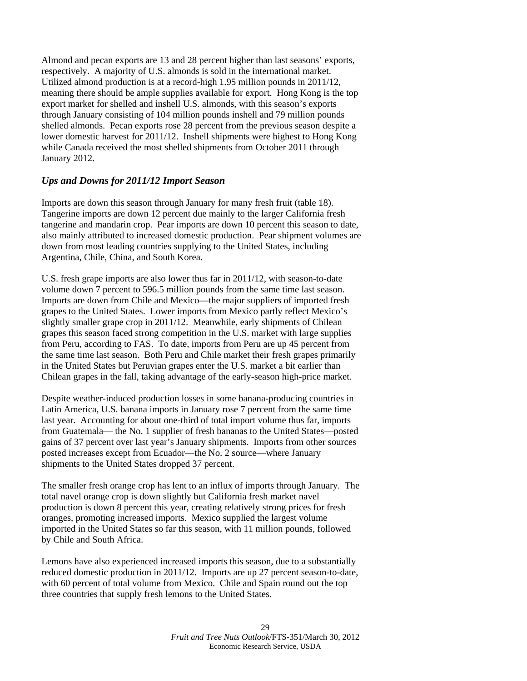Almond and pecan exports are 13 and 28 percent higher than last seasons' exports, respectively. A majority of U.S. almonds is sold in the international market. Utilized almond production is at a record-high 1.95 million pounds in 2011/12, meaning there should be ample supplies available for export. Hong Kong is the top export market for shelled and inshell U.S. almonds, with this season's exports through January consisting of 104 million pounds inshell and 79 million pounds shelled almonds. Pecan exports rose 28 percent from the previous season despite a lower domestic harvest for 2011/12. Inshell shipments were highest to Hong Kong while Canada received the most shelled shipments from October 2011 through January 2012.

#### *Ups and Downs for 2011/12 Import Season*

Imports are down this season through January for many fresh fruit (table 18). Tangerine imports are down 12 percent due mainly to the larger California fresh tangerine and mandarin crop. Pear imports are down 10 percent this season to date, also mainly attributed to increased domestic production. Pear shipment volumes are down from most leading countries supplying to the United States, including Argentina, Chile, China, and South Korea.

U.S. fresh grape imports are also lower thus far in 2011/12, with season-to-date volume down 7 percent to 596.5 million pounds from the same time last season. Imports are down from Chile and Mexico—the major suppliers of imported fresh grapes to the United States. Lower imports from Mexico partly reflect Mexico's slightly smaller grape crop in 2011/12. Meanwhile, early shipments of Chilean grapes this season faced strong competition in the U.S. market with large supplies from Peru, according to FAS. To date, imports from Peru are up 45 percent from the same time last season. Both Peru and Chile market their fresh grapes primarily in the United States but Peruvian grapes enter the U.S. market a bit earlier than Chilean grapes in the fall, taking advantage of the early-season high-price market.

Despite weather-induced production losses in some banana-producing countries in Latin America, U.S. banana imports in January rose 7 percent from the same time last year. Accounting for about one-third of total import volume thus far, imports from Guatemala— the No. 1 supplier of fresh bananas to the United States—posted gains of 37 percent over last year's January shipments. Imports from other sources posted increases except from Ecuador—the No. 2 source—where January shipments to the United States dropped 37 percent.

The smaller fresh orange crop has lent to an influx of imports through January. The total navel orange crop is down slightly but California fresh market navel production is down 8 percent this year, creating relatively strong prices for fresh oranges, promoting increased imports. Mexico supplied the largest volume imported in the United States so far this season, with 11 million pounds, followed by Chile and South Africa.

Lemons have also experienced increased imports this season, due to a substantially reduced domestic production in 2011/12. Imports are up 27 percent season-to-date, with 60 percent of total volume from Mexico. Chile and Spain round out the top three countries that supply fresh lemons to the United States.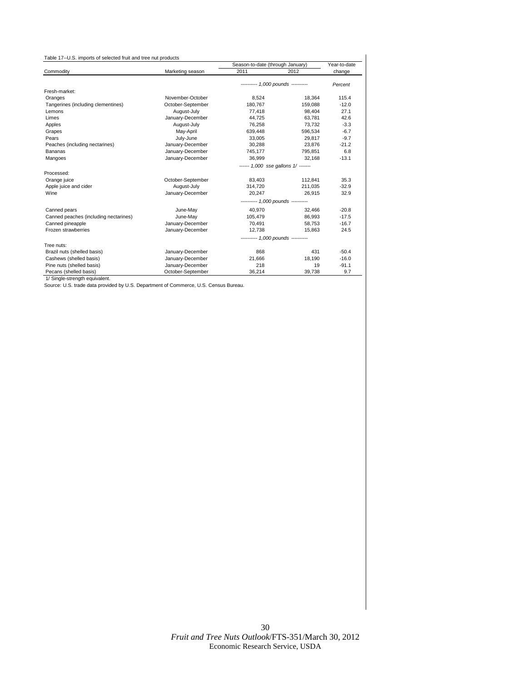<span id="page-28-0"></span>

|                                       |                   | Season-to-date (through January)    | Year-to-date |         |
|---------------------------------------|-------------------|-------------------------------------|--------------|---------|
| Commodity                             | Marketing season  | 2011                                | 2012         | change  |
|                                       |                   | --------- 1,000 pounds ---------    |              | Percent |
| Fresh-market:                         |                   |                                     |              |         |
| Oranges                               | November-October  | 8,524                               | 18,364       | 115.4   |
| Tangerines (including clementines)    | October-September | 180,767                             | 159,088      | $-12.0$ |
| Lemons                                | August-July       | 77,418                              | 98,404       | 27.1    |
| Limes                                 | January-December  | 44.725                              | 63.781       | 42.6    |
| Apples                                | August-July       | 76,258                              | 73,732       | $-3.3$  |
| Grapes                                | May-April         | 639,448                             | 596,534      | $-6.7$  |
| Pears                                 | July-June         | 33.005                              | 29.817       | $-9.7$  |
| Peaches (including nectarines)        | January-December  | 30,288                              | 23,876       | $-21.2$ |
| Bananas                               | January-December  | 745,177                             | 795,851      | 6.8     |
| Mangoes                               | January-December  | 36,999                              | 32.168       | $-13.1$ |
|                                       |                   | ------ 1,000 sse gallons 1/ ------- |              |         |
| Processed:                            |                   |                                     |              |         |
| Orange juice                          | October-September | 83,403                              | 112,841      | 35.3    |
| Apple juice and cider                 | August-July       | 314,720                             | 211.035      | $-32.9$ |
| Wine                                  | January-December  | 20.247                              | 26.915       | 32.9    |
|                                       |                   | --------- 1,000 pounds ---------    |              |         |
| Canned pears                          | June-May          | 40,970                              | 32.466       | $-20.8$ |
| Canned peaches (including nectarines) | June-May          | 105,479                             | 86.993       | $-17.5$ |
| Canned pineapple                      | January-December  | 70,491                              | 58,753       | $-16.7$ |
| Frozen strawberries                   | January-December  | 12.738                              | 15.863       | 24.5    |
|                                       |                   | --------- 1,000 pounds ---------    |              |         |
| Tree nuts:                            |                   |                                     |              |         |
| Brazil nuts (shelled basis)           | January-December  | 868                                 | 431          | $-50.4$ |
| Cashews (shelled basis)               | January-December  | 21,666                              | 18,190       | $-16.0$ |
| Pine nuts (shelled basis)             | January-December  | 218                                 | 19           | $-91.1$ |
| Pecans (shelled basis)                | October-September | 36,214                              | 39,738       | 9.7     |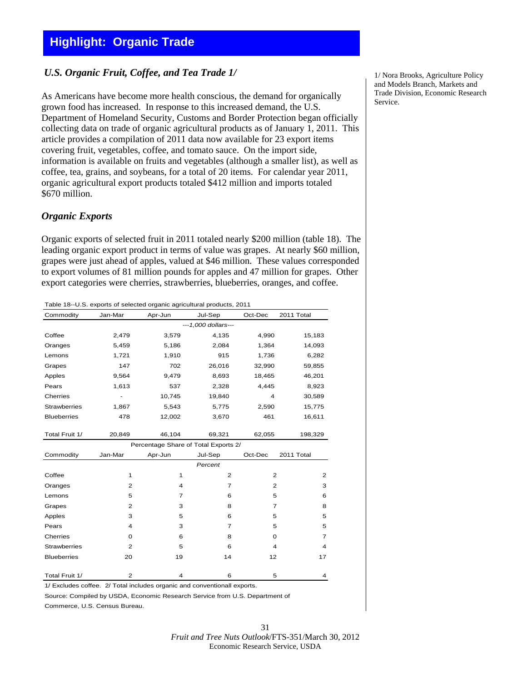# <span id="page-29-0"></span>**Highlight: Organic Trade**

#### *U.S. Organic Fruit, Coffee, and Tea Trade 1/*

As Americans have become more health conscious, the demand for organically grown food has increased. In response to this increased demand, the U.S. Department of Homeland Security, Customs and Border Protection began officially collecting data on trade of organic agricultural products as of January 1, 2011. This article provides a compilation of 2011 data now available for 23 export items covering fruit, vegetables, coffee, and tomato sauce. On the import side, information is available on fruits and vegetables (although a smaller list), as well as coffee, tea, grains, and soybeans, for a total of 20 items. For calendar year 2011, organic agricultural export products totaled \$412 million and imports totaled \$670 million.

#### *Organic Exports*

Organic exports of selected fruit in 2011 totaled nearly \$200 million (table 18). The leading organic export product in terms of value was grapes. At nearly \$60 million, grapes were just ahead of apples, valued at \$46 million. These values corresponded to export volumes of 81 million pounds for apples and 47 million for grapes. Other export categories were cherries, strawberries, blueberries, oranges, and coffee.

Table 18--U.S. exports of selected organic agricultural products, 2011

| Commodity           | Jan-Mar                              | Apr-Jun | Jul-Sep             | Oct-Dec        | 2011 Total |  |  |  |
|---------------------|--------------------------------------|---------|---------------------|----------------|------------|--|--|--|
|                     |                                      |         | ---1,000 dollars--- |                |            |  |  |  |
| Coffee              | 2,479                                | 3,579   | 4,135               | 4,990          | 15,183     |  |  |  |
| Oranges             | 5,459                                | 5,186   | 2,084               | 1,364          | 14,093     |  |  |  |
| Lemons              | 1,721                                | 1,910   | 915                 | 1,736          | 6,282      |  |  |  |
| Grapes              | 147                                  | 702     | 26,016              | 32,990         | 59,855     |  |  |  |
| Apples              | 9.564                                | 9,479   | 8.693               | 18,465         | 46,201     |  |  |  |
| Pears               | 1,613                                | 537     | 2,328               | 4,445          | 8,923      |  |  |  |
| Cherries            |                                      | 10,745  | 19,840              | 4              | 30,589     |  |  |  |
| <b>Strawberries</b> | 1,867                                | 5,543   | 5,775               | 2,590          | 15,775     |  |  |  |
| <b>Blueberries</b>  | 478                                  | 12,002  | 3,670               | 461            | 16,611     |  |  |  |
| Total Fruit 1/      | 20,849                               | 46,104  | 69,321              | 62,055         | 198,329    |  |  |  |
|                     | Percentage Share of Total Exports 2/ |         |                     |                |            |  |  |  |
| Commodity           | Jan-Mar                              | Apr-Jun | Jul-Sep             | Oct-Dec        | 2011 Total |  |  |  |
|                     |                                      |         | Percent             |                |            |  |  |  |
| Coffee              | $\mathbf{1}$                         | 1       | $\overline{2}$      | $\overline{2}$ | 2          |  |  |  |
| Oranges             | 2                                    | 4       | 7                   | $\overline{2}$ | 3          |  |  |  |
| Lemons              | 5                                    | 7       | 6                   | 5              | 6          |  |  |  |
| Grapes              | 2                                    | 3       | 8                   | $\overline{7}$ | 8          |  |  |  |
| Apples              | 3                                    | 5       | 6                   | 5              | 5          |  |  |  |
| Pears               | 4                                    | 3       | $\overline{7}$      | 5              | 5          |  |  |  |
| Cherries            | $\mathbf 0$                          | 6       | 8                   | 0              | 7          |  |  |  |
| <b>Strawberries</b> | 2                                    | 5       | 6                   | 4              | 4          |  |  |  |
| <b>Blueberries</b>  | 20                                   | 19      | 14                  | 12             | 17         |  |  |  |
| Total Fruit 1/      | 2                                    | 4       | 6                   | 5              | 4          |  |  |  |
|                     |                                      |         |                     |                |            |  |  |  |

1/ Excludes coffee. 2/ Total includes organic and conventionall exports.

Source: Compiled by USDA, Economic Research Service from U.S. Department of Commerce, U.S. Census Bureau.

1/ Nora Brooks, Agriculture Policy and Models Branch, Markets and Trade Division, Economic Research Service.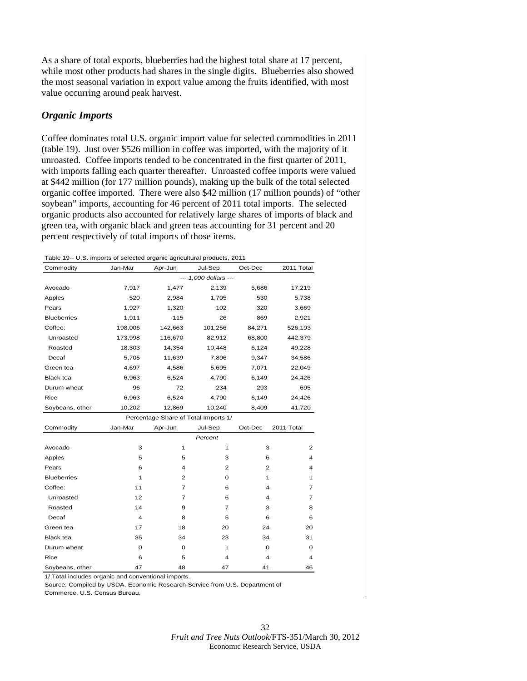As a share of total exports, blueberries had the highest total share at 17 percent, while most other products had shares in the single digits. Blueberries also showed the most seasonal variation in export value among the fruits identified, with most value occurring around peak harvest.

#### *Organic Imports*

Coffee dominates total U.S. organic import value for selected commodities in 2011 (table 19). Just over \$526 million in coffee was imported, with the majority of it unroasted. Coffee imports tended to be concentrated in the first quarter of 2011, with imports falling each quarter thereafter. Unroasted coffee imports were valued at \$442 million (for 177 million pounds), making up the bulk of the total selected organic coffee imported. There were also \$42 million (17 million pounds) of "other soybean" imports, accounting for 46 percent of 2011 total imports. The selected organic products also accounted for relatively large shares of imports of black and green tea, with organic black and green teas accounting for 31 percent and 20 percent respectively of total imports of those items.

Table 19-- U.S. imports of selected organic agricultural products, 2011

| Commodity          | Jan-Mar | Apr-Jun        | Jul-Sep                              | Oct-Dec | 2011 Total   |
|--------------------|---------|----------------|--------------------------------------|---------|--------------|
|                    |         |                | --- 1,000 dollars ---                |         |              |
| Avocado            | 7,917   | 1,477          | 2,139                                | 5,686   | 17,219       |
| Apples             | 520     | 2,984          | 1,705                                | 530     | 5,738        |
| Pears              | 1,927   | 1,320          | 102                                  | 320     | 3,669        |
| <b>Blueberries</b> | 1,911   | 115            | 26                                   | 869     | 2,921        |
| Coffee:            | 198,006 | 142,663        | 101,256                              | 84,271  | 526,193      |
| Unroasted          | 173,998 | 116,670        | 82,912                               | 68,800  | 442,379      |
| Roasted            | 18,303  | 14,354         | 10,448                               | 6,124   | 49,228       |
| Decaf              | 5,705   | 11,639         | 7,896                                | 9,347   | 34,586       |
| Green tea          | 4,697   | 4,586          | 5,695                                | 7,071   | 22,049       |
| <b>Black tea</b>   | 6,963   | 6,524          | 4,790                                | 6,149   | 24,426       |
| Durum wheat        | 96      | 72             | 234                                  | 293     | 695          |
| Rice               | 6,963   | 6,524          | 4,790                                | 6,149   | 24,426       |
| Soybeans, other    | 10,202  | 12,869         | 10,240                               | 8,409   | 41,720       |
|                    |         |                | Percentage Share of Total Imports 1/ |         |              |
| Commodity          | Jan-Mar | Apr-Jun        | Jul-Sep                              | Oct-Dec | 2011 Total   |
|                    |         |                | Percent                              |         |              |
| Avocado            | 3       | 1              | 1                                    | 3       | 2            |
| Apples             | 5       | 5              | 3                                    | 6       | 4            |
| Pears              | 6       | 4              | 2                                    | 2       | 4            |
| <b>Blueberries</b> | 1       | $\overline{c}$ | 0                                    | 1       | $\mathbf{1}$ |
| Coffee:            | 11      | 7              | 6                                    | 4       | 7            |
| Unroasted          | 12      | 7              | 6                                    | 4       | 7            |
| Roasted            | 14      | 9              | 7                                    | 3       | 8            |
| Decaf              | 4       | 8              | 5                                    | 6       | 6            |
| Green tea          | 17      | 18             | 20                                   | 24      | 20           |
| Black tea          | 35      | 34             | 23                                   | 34      | 31           |
| Durum wheat        | 0       | 0              | 1                                    | 0       | 0            |
| Rice               | 6       | 5              | 4                                    | 4       | 4            |
| Soybeans, other    | 47      | 48             | 47                                   | 41      | 46           |

1/ Total includes organic and conventional imports.

Source: Compiled by USDA, Economic Research Service from U.S. Department of Commerce, U.S. Census Bureau.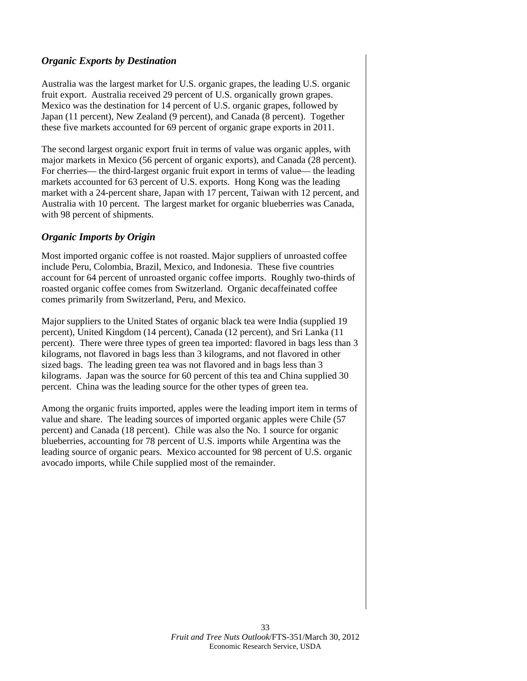#### *Organic Exports by Destination*

Australia was the largest market for U.S. organic grapes, the leading U.S. organic fruit export. Australia received 29 percent of U.S. organically grown grapes. Mexico was the destination for 14 percent of U.S. organic grapes, followed by Japan (11 percent), New Zealand (9 percent), and Canada (8 percent). Together these five markets accounted for 69 percent of organic grape exports in 2011.

The second largest organic export fruit in terms of value was organic apples, with major markets in Mexico (56 percent of organic exports), and Canada (28 percent). For cherries— the third-largest organic fruit export in terms of value— the leading markets accounted for 63 percent of U.S. exports. Hong Kong was the leading market with a 24-percent share, Japan with 17 percent, Taiwan with 12 percent, and Australia with 10 percent. The largest market for organic blueberries was Canada, with 98 percent of shipments.

#### *Organic Imports by Origin*

Most imported organic coffee is not roasted. Major suppliers of unroasted coffee include Peru, Colombia, Brazil, Mexico, and Indonesia. These five countries account for 64 percent of unroasted organic coffee imports. Roughly two-thirds of roasted organic coffee comes from Switzerland. Organic decaffeinated coffee comes primarily from Switzerland, Peru, and Mexico.

Major suppliers to the United States of organic black tea were India (supplied 19 percent), United Kingdom (14 percent), Canada (12 percent), and Sri Lanka (11 percent). There were three types of green tea imported: flavored in bags less than 3 kilograms, not flavored in bags less than 3 kilograms, and not flavored in other sized bags. The leading green tea was not flavored and in bags less than 3 kilograms. Japan was the source for 60 percent of this tea and China supplied 30 percent. China was the leading source for the other types of green tea.

Among the organic fruits imported, apples were the leading import item in terms of value and share. The leading sources of imported organic apples were Chile (57 percent) and Canada (18 percent). Chile was also the No. 1 source for organic blueberries, accounting for 78 percent of U.S. imports while Argentina was the leading source of organic pears. Mexico accounted for 98 percent of U.S. organic avocado imports, while Chile supplied most of the remainder.